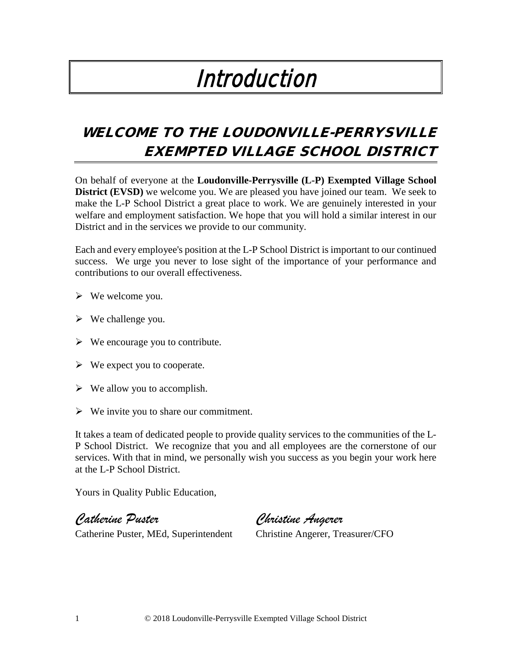# Introduction

# WELCOME TO THE LOUDONVILLE-PERRYSVILLE EXEMPTED VILLAGE SCHOOL DISTRICT

On behalf of everyone at the **Loudonville-Perrysville (L-P) Exempted Village School District (EVSD)** we welcome you. We are pleased you have joined our team. We seek to make the L-P School District a great place to work. We are genuinely interested in your welfare and employment satisfaction. We hope that you will hold a similar interest in our District and in the services we provide to our community.

Each and every employee's position at the L-P School District is important to our continued success. We urge you never to lose sight of the importance of your performance and contributions to our overall effectiveness.

- $\triangleright$  We welcome you.
- $\triangleright$  We challenge you.
- $\triangleright$  We encourage you to contribute.
- $\triangleright$  We expect you to cooperate.
- $\triangleright$  We allow you to accomplish.
- $\triangleright$  We invite you to share our commitment.

It takes a team of dedicated people to provide quality services to the communities of the L-P School District. We recognize that you and all employees are the cornerstone of our services. With that in mind, we personally wish you success as you begin your work here at the L-P School District.

Yours in Quality Public Education,

*Catherine Puster Christine Angerer*

Catherine Puster, MEd, Superintendent Christine Angerer, Treasurer/CFO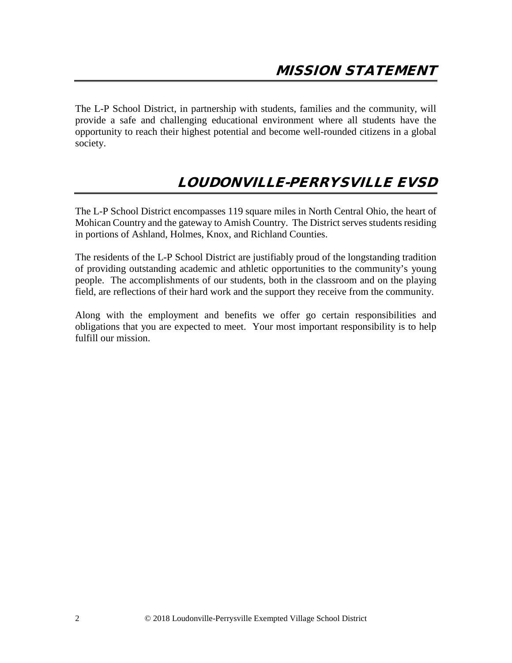The L-P School District, in partnership with students, families and the community, will provide a safe and challenging educational environment where all students have the opportunity to reach their highest potential and become well-rounded citizens in a global society.

## LOUDONVILLE-PERRYSVILLE EVSD

The L-P School District encompasses 119 square miles in North Central Ohio, the heart of Mohican Country and the gateway to Amish Country. The District serves students residing in portions of Ashland, Holmes, Knox, and Richland Counties.

The residents of the L-P School District are justifiably proud of the longstanding tradition of providing outstanding academic and athletic opportunities to the community's young people. The accomplishments of our students, both in the classroom and on the playing field, are reflections of their hard work and the support they receive from the community.

Along with the employment and benefits we offer go certain responsibilities and obligations that you are expected to meet. Your most important responsibility is to help fulfill our mission.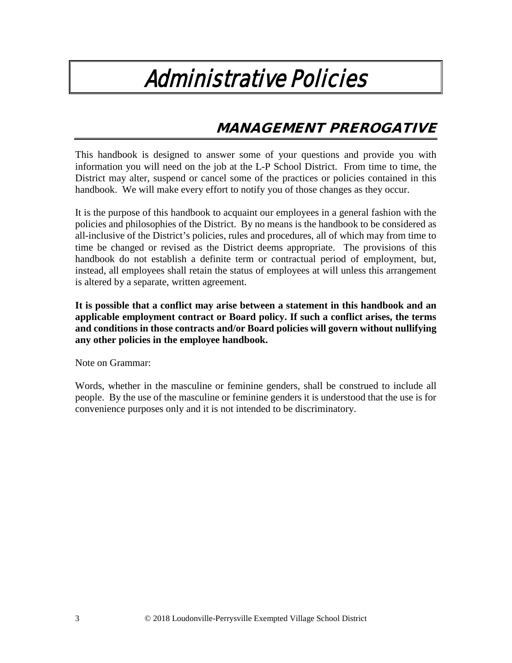# Administrative Policies

# MANAGEMENT PREROGATIVE

This handbook is designed to answer some of your questions and provide you with information you will need on the job at the L-P School District. From time to time, the District may alter, suspend or cancel some of the practices or policies contained in this handbook. We will make every effort to notify you of those changes as they occur.

It is the purpose of this handbook to acquaint our employees in a general fashion with the policies and philosophies of the District. By no means is the handbook to be considered as all-inclusive of the District's policies, rules and procedures, all of which may from time to time be changed or revised as the District deems appropriate. The provisions of this handbook do not establish a definite term or contractual period of employment, but, instead, all employees shall retain the status of employees at will unless this arrangement is altered by a separate, written agreement.

**It is possible that a conflict may arise between a statement in this handbook and an applicable employment contract or Board policy. If such a conflict arises, the terms and conditions in those contracts and/or Board policies will govern without nullifying any other policies in the employee handbook.** 

Note on Grammar:

Words, whether in the masculine or feminine genders, shall be construed to include all people. By the use of the masculine or feminine genders it is understood that the use is for convenience purposes only and it is not intended to be discriminatory.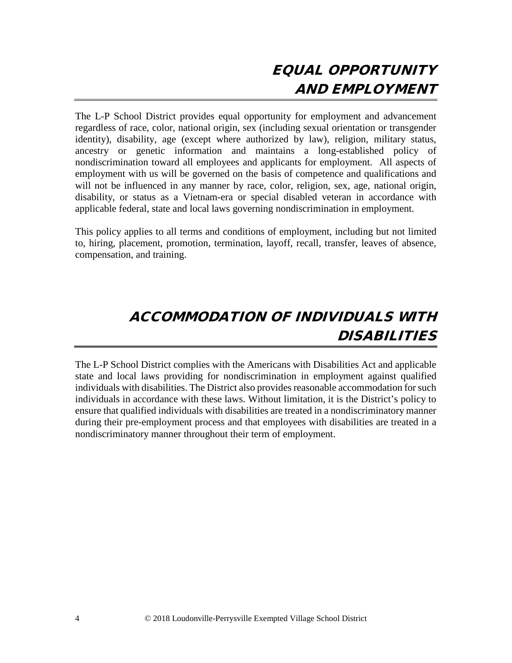# EQUAL OPPORTUNITY AND EMPLOYMENT

The L-P School District provides equal opportunity for employment and advancement regardless of race, color, national origin, sex (including sexual orientation or transgender identity), disability, age (except where authorized by law), religion, military status, ancestry or genetic information and maintains a long-established policy of nondiscrimination toward all employees and applicants for employment. All aspects of employment with us will be governed on the basis of competence and qualifications and will not be influenced in any manner by race, color, religion, sex, age, national origin, disability, or status as a Vietnam-era or special disabled veteran in accordance with applicable federal, state and local laws governing nondiscrimination in employment.

This policy applies to all terms and conditions of employment, including but not limited to, hiring, placement, promotion, termination, layoff, recall, transfer, leaves of absence, compensation, and training.

# ACCOMMODATION OF INDIVIDUALS WITH DISABILITIES

The L-P School District complies with the Americans with Disabilities Act and applicable state and local laws providing for nondiscrimination in employment against qualified individuals with disabilities. The District also provides reasonable accommodation for such individuals in accordance with these laws. Without limitation, it is the District's policy to ensure that qualified individuals with disabilities are treated in a nondiscriminatory manner during their pre-employment process and that employees with disabilities are treated in a nondiscriminatory manner throughout their term of employment.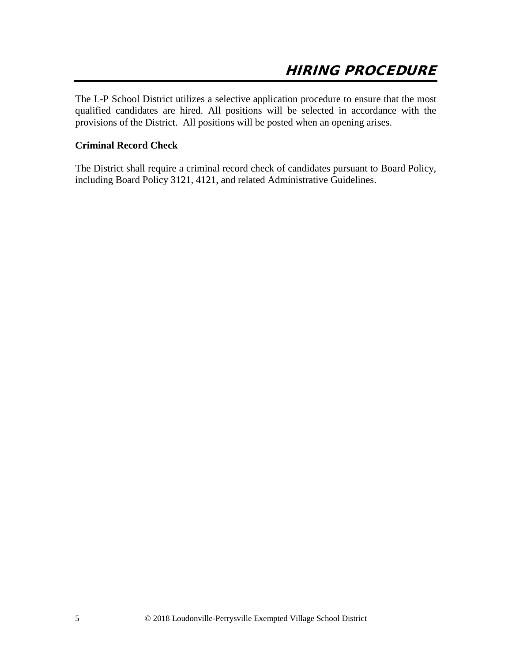The L-P School District utilizes a selective application procedure to ensure that the most qualified candidates are hired. All positions will be selected in accordance with the provisions of the District. All positions will be posted when an opening arises.

### **Criminal Record Check**

The District shall require a criminal record check of candidates pursuant to Board Policy, including Board Policy 3121, 4121, and related Administrative Guidelines.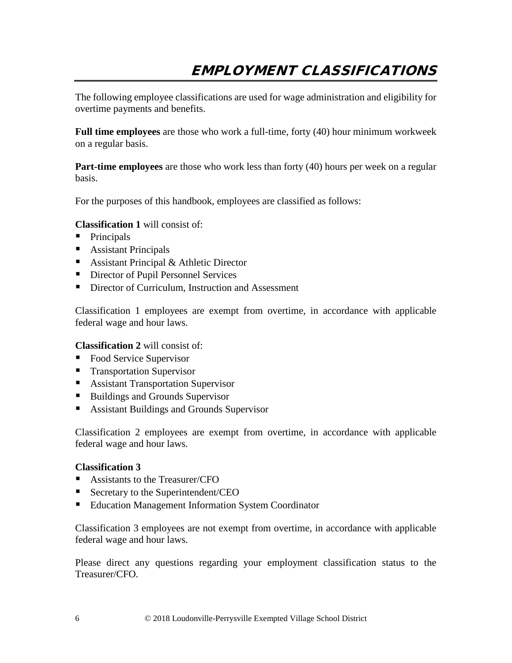The following employee classifications are used for wage administration and eligibility for overtime payments and benefits.

**Full time employees** are those who work a full-time, forty (40) hour minimum workweek on a regular basis.

**Part-time employees** are those who work less than forty (40) hours per week on a regular basis.

For the purposes of this handbook, employees are classified as follows:

### **Classification 1** will consist of:

- Principals
- Assistant Principals
- Assistant Principal & Athletic Director
- Director of Pupil Personnel Services
- Director of Curriculum, Instruction and Assessment

Classification 1 employees are exempt from overtime, in accordance with applicable federal wage and hour laws.

### **Classification 2** will consist of:

- Food Service Supervisor
- **Transportation Supervisor**
- Assistant Transportation Supervisor
- Buildings and Grounds Supervisor
- Assistant Buildings and Grounds Supervisor

Classification 2 employees are exempt from overtime, in accordance with applicable federal wage and hour laws.

### **Classification 3**

- Assistants to the Treasurer/CFO
- Secretary to the Superintendent/CEO
- **Education Management Information System Coordinator**

Classification 3 employees are not exempt from overtime, in accordance with applicable federal wage and hour laws.

Please direct any questions regarding your employment classification status to the Treasurer/CFO.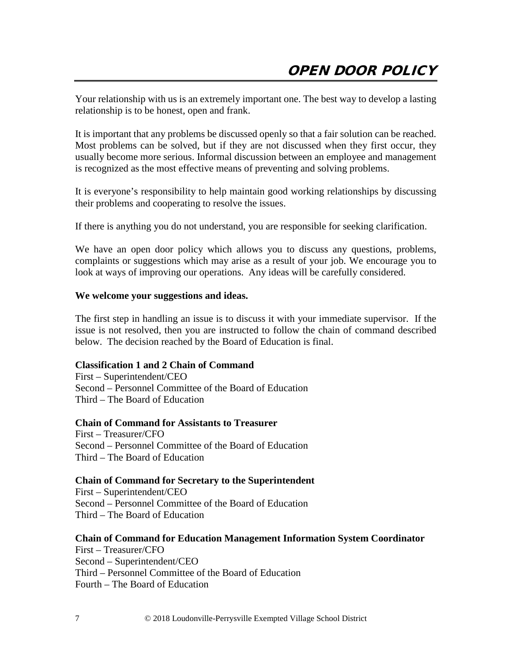Your relationship with us is an extremely important one. The best way to develop a lasting relationship is to be honest, open and frank.

It is important that any problems be discussed openly so that a fair solution can be reached. Most problems can be solved, but if they are not discussed when they first occur, they usually become more serious. Informal discussion between an employee and management is recognized as the most effective means of preventing and solving problems.

It is everyone's responsibility to help maintain good working relationships by discussing their problems and cooperating to resolve the issues.

If there is anything you do not understand, you are responsible for seeking clarification.

We have an open door policy which allows you to discuss any questions, problems, complaints or suggestions which may arise as a result of your job. We encourage you to look at ways of improving our operations. Any ideas will be carefully considered.

### **We welcome your suggestions and ideas.**

The first step in handling an issue is to discuss it with your immediate supervisor. If the issue is not resolved, then you are instructed to follow the chain of command described below. The decision reached by the Board of Education is final.

### **Classification 1 and 2 Chain of Command**

First – Superintendent/CEO Second – Personnel Committee of the Board of Education Third – The Board of Education

#### **Chain of Command for Assistants to Treasurer**

First – Treasurer/CFO Second – Personnel Committee of the Board of Education Third – The Board of Education

### **Chain of Command for Secretary to the Superintendent**

First – Superintendent/CEO Second – Personnel Committee of the Board of Education Third – The Board of Education

#### **Chain of Command for Education Management Information System Coordinator**

First – Treasurer/CFO Second – Superintendent/CEO Third – Personnel Committee of the Board of Education Fourth – The Board of Education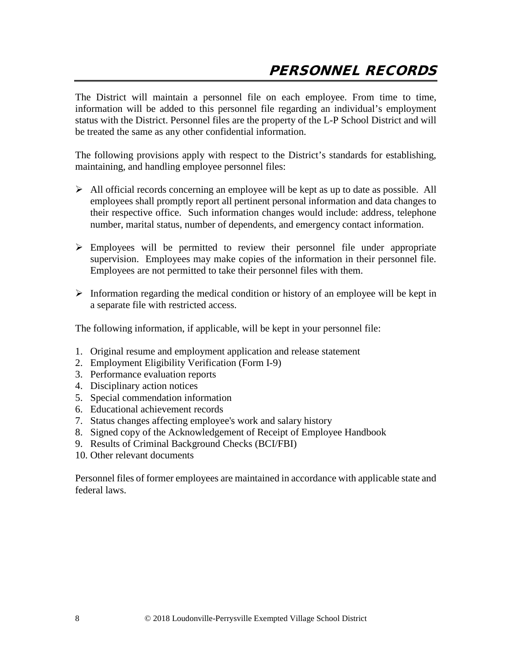The District will maintain a personnel file on each employee. From time to time, information will be added to this personnel file regarding an individual's employment status with the District. Personnel files are the property of the L-P School District and will be treated the same as any other confidential information.

The following provisions apply with respect to the District's standards for establishing, maintaining, and handling employee personnel files:

- $\triangleright$  All official records concerning an employee will be kept as up to date as possible. All employees shall promptly report all pertinent personal information and data changes to their respective office. Such information changes would include: address, telephone number, marital status, number of dependents, and emergency contact information.
- Employees will be permitted to review their personnel file under appropriate supervision. Employees may make copies of the information in their personnel file. Employees are not permitted to take their personnel files with them.
- $\triangleright$  Information regarding the medical condition or history of an employee will be kept in a separate file with restricted access.

The following information, if applicable, will be kept in your personnel file:

- 1. Original resume and employment application and release statement
- 2. Employment Eligibility Verification (Form I-9)
- 3. Performance evaluation reports
- 4. Disciplinary action notices
- 5. Special commendation information
- 6. Educational achievement records
- 7. Status changes affecting employee's work and salary history
- 8. Signed copy of the Acknowledgement of Receipt of Employee Handbook
- 9. Results of Criminal Background Checks (BCI/FBI)
- 10. Other relevant documents

Personnel files of former employees are maintained in accordance with applicable state and federal laws.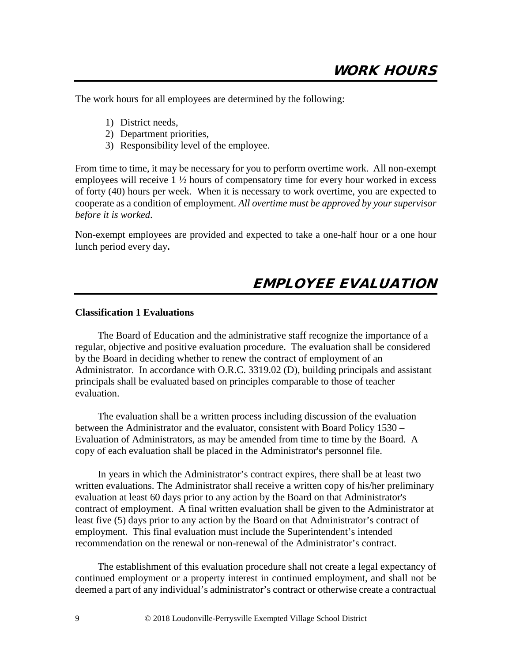The work hours for all employees are determined by the following:

- 1) District needs,
- 2) Department priorities,
- 3) Responsibility level of the employee.

From time to time, it may be necessary for you to perform overtime work. All non-exempt employees will receive 1 ½ hours of compensatory time for every hour worked in excess of forty (40) hours per week. When it is necessary to work overtime, you are expected to cooperate as a condition of employment. *All overtime must be approved by your supervisor before it is worked*.

Non-exempt employees are provided and expected to take a one-half hour or a one hour lunch period every day**.**

### EMPLOYEE EVALUATION

### **Classification 1 Evaluations**

The Board of Education and the administrative staff recognize the importance of a regular, objective and positive evaluation procedure. The evaluation shall be considered by the Board in deciding whether to renew the contract of employment of an Administrator. In accordance with O.R.C. 3319.02 (D), building principals and assistant principals shall be evaluated based on principles comparable to those of teacher evaluation.

The evaluation shall be a written process including discussion of the evaluation between the Administrator and the evaluator, consistent with Board Policy 1530 – Evaluation of Administrators, as may be amended from time to time by the Board. A copy of each evaluation shall be placed in the Administrator's personnel file.

In years in which the Administrator's contract expires, there shall be at least two written evaluations. The Administrator shall receive a written copy of his/her preliminary evaluation at least 60 days prior to any action by the Board on that Administrator's contract of employment. A final written evaluation shall be given to the Administrator at least five (5) days prior to any action by the Board on that Administrator's contract of employment. This final evaluation must include the Superintendent's intended recommendation on the renewal or non-renewal of the Administrator's contract.

 The establishment of this evaluation procedure shall not create a legal expectancy of continued employment or a property interest in continued employment, and shall not be deemed a part of any individual's administrator's contract or otherwise create a contractual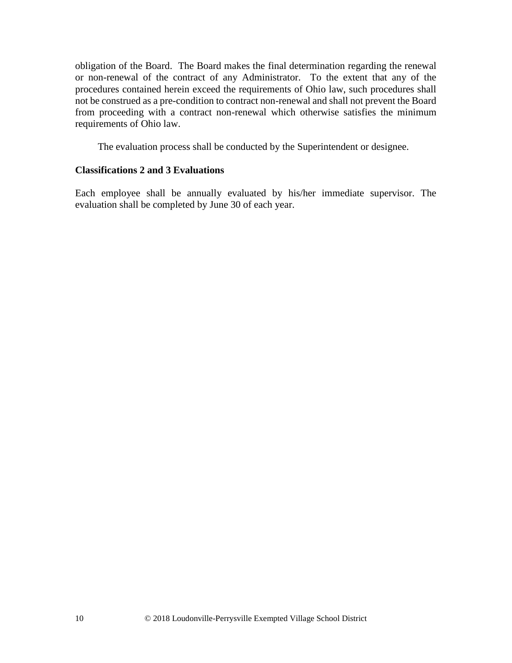obligation of the Board. The Board makes the final determination regarding the renewal or non-renewal of the contract of any Administrator. To the extent that any of the procedures contained herein exceed the requirements of Ohio law, such procedures shall not be construed as a pre-condition to contract non-renewal and shall not prevent the Board from proceeding with a contract non-renewal which otherwise satisfies the minimum requirements of Ohio law.

The evaluation process shall be conducted by the Superintendent or designee.

### **Classifications 2 and 3 Evaluations**

Each employee shall be annually evaluated by his/her immediate supervisor. The evaluation shall be completed by June 30 of each year.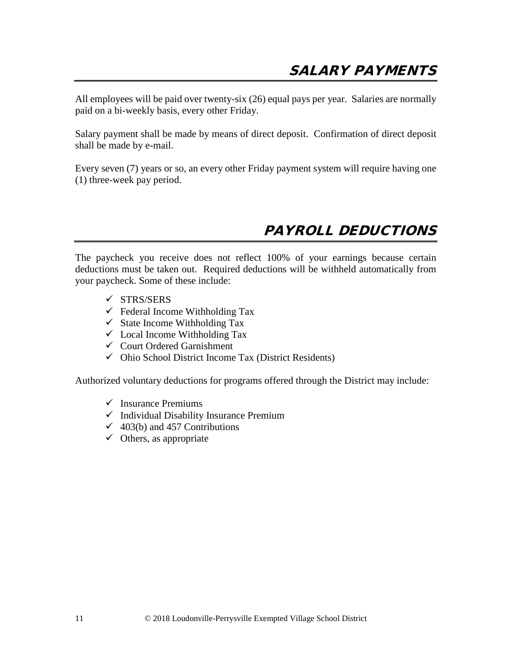All employees will be paid over twenty-six (26) equal pays per year. Salaries are normally paid on a bi-weekly basis, every other Friday.

Salary payment shall be made by means of direct deposit. Confirmation of direct deposit shall be made by e-mail.

Every seven (7) years or so, an every other Friday payment system will require having one (1) three-week pay period.

### PAYROLL DEDUCTIONS

The paycheck you receive does not reflect 100% of your earnings because certain deductions must be taken out. Required deductions will be withheld automatically from your paycheck. Some of these include:

- $\checkmark$  STRS/SERS
- $\checkmark$  Federal Income Withholding Tax
- $\checkmark$  State Income Withholding Tax
- $\checkmark$  Local Income Withholding Tax
- $\checkmark$  Court Ordered Garnishment
- $\checkmark$  Ohio School District Income Tax (District Residents)

Authorized voluntary deductions for programs offered through the District may include:

- $\checkmark$  Insurance Premiums
- $\checkmark$  Individual Disability Insurance Premium
- $\checkmark$  403(b) and 457 Contributions
- $\checkmark$  Others, as appropriate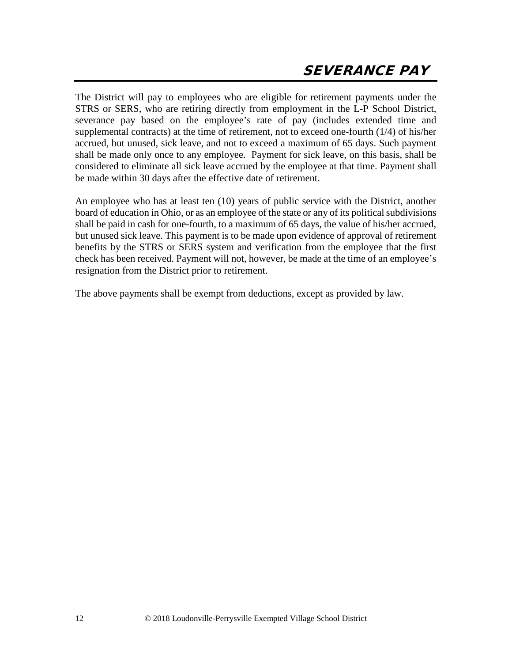The District will pay to employees who are eligible for retirement payments under the STRS or SERS, who are retiring directly from employment in the L-P School District, severance pay based on the employee's rate of pay (includes extended time and supplemental contracts) at the time of retirement, not to exceed one-fourth (1/4) of his/her accrued, but unused, sick leave, and not to exceed a maximum of 65 days. Such payment shall be made only once to any employee. Payment for sick leave, on this basis, shall be considered to eliminate all sick leave accrued by the employee at that time. Payment shall be made within 30 days after the effective date of retirement.

An employee who has at least ten (10) years of public service with the District, another board of education in Ohio, or as an employee of the state or any of its political subdivisions shall be paid in cash for one-fourth, to a maximum of 65 days, the value of his/her accrued, but unused sick leave. This payment is to be made upon evidence of approval of retirement benefits by the STRS or SERS system and verification from the employee that the first check has been received. Payment will not, however, be made at the time of an employee's resignation from the District prior to retirement.

The above payments shall be exempt from deductions, except as provided by law.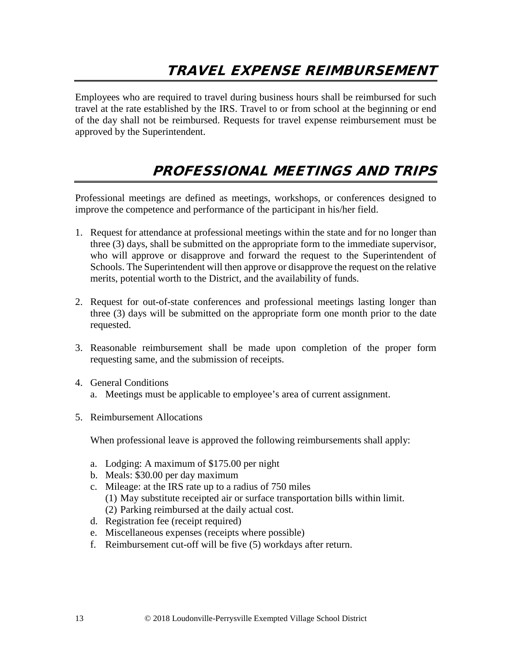## TRAVEL EXPENSE REIMBURSEMENT

Employees who are required to travel during business hours shall be reimbursed for such travel at the rate established by the IRS. Travel to or from school at the beginning or end of the day shall not be reimbursed. Requests for travel expense reimbursement must be approved by the Superintendent.

### PROFESSIONAL MEETINGS AND TRIPS

Professional meetings are defined as meetings, workshops, or conferences designed to improve the competence and performance of the participant in his/her field.

- 1. Request for attendance at professional meetings within the state and for no longer than three (3) days, shall be submitted on the appropriate form to the immediate supervisor, who will approve or disapprove and forward the request to the Superintendent of Schools. The Superintendent will then approve or disapprove the request on the relative merits, potential worth to the District, and the availability of funds.
- 2. Request for out-of-state conferences and professional meetings lasting longer than three (3) days will be submitted on the appropriate form one month prior to the date requested.
- 3. Reasonable reimbursement shall be made upon completion of the proper form requesting same, and the submission of receipts.
- 4. General Conditions
	- a. Meetings must be applicable to employee's area of current assignment.
- 5. Reimbursement Allocations

When professional leave is approved the following reimbursements shall apply:

- a. Lodging: A maximum of \$175.00 per night
- b. Meals: \$30.00 per day maximum
- c. Mileage: at the IRS rate up to a radius of 750 miles (1) May substitute receipted air or surface transportation bills within limit. (2) Parking reimbursed at the daily actual cost.
- d. Registration fee (receipt required)
- e. Miscellaneous expenses (receipts where possible)
- f. Reimbursement cut-off will be five (5) workdays after return.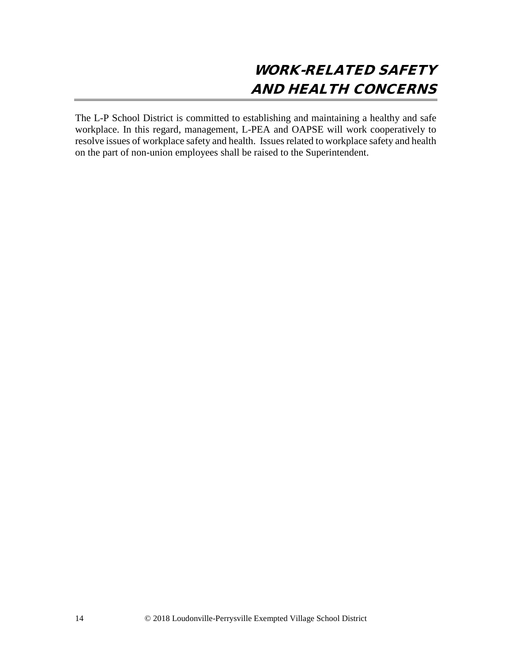The L-P School District is committed to establishing and maintaining a healthy and safe workplace. In this regard, management, L-PEA and OAPSE will work cooperatively to resolve issues of workplace safety and health. Issues related to workplace safety and health on the part of non-union employees shall be raised to the Superintendent.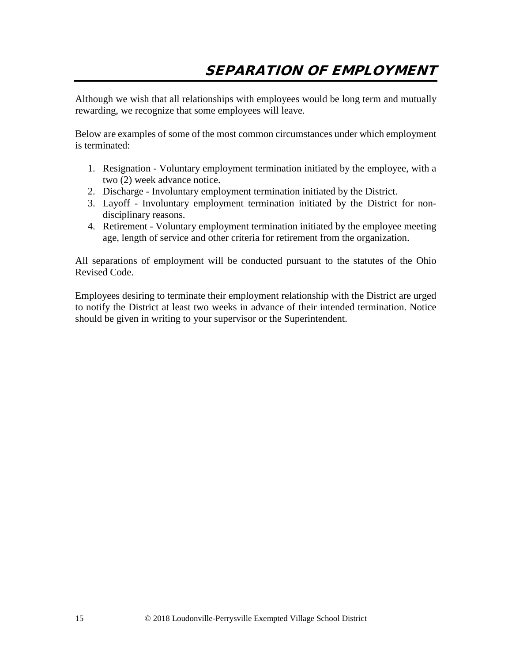Although we wish that all relationships with employees would be long term and mutually rewarding, we recognize that some employees will leave.

Below are examples of some of the most common circumstances under which employment is terminated:

- 1. Resignation Voluntary employment termination initiated by the employee, with a two (2) week advance notice.
- 2. Discharge Involuntary employment termination initiated by the District.
- 3. Layoff Involuntary employment termination initiated by the District for nondisciplinary reasons.
- 4. Retirement Voluntary employment termination initiated by the employee meeting age, length of service and other criteria for retirement from the organization.

All separations of employment will be conducted pursuant to the statutes of the Ohio Revised Code.

Employees desiring to terminate their employment relationship with the District are urged to notify the District at least two weeks in advance of their intended termination. Notice should be given in writing to your supervisor or the Superintendent.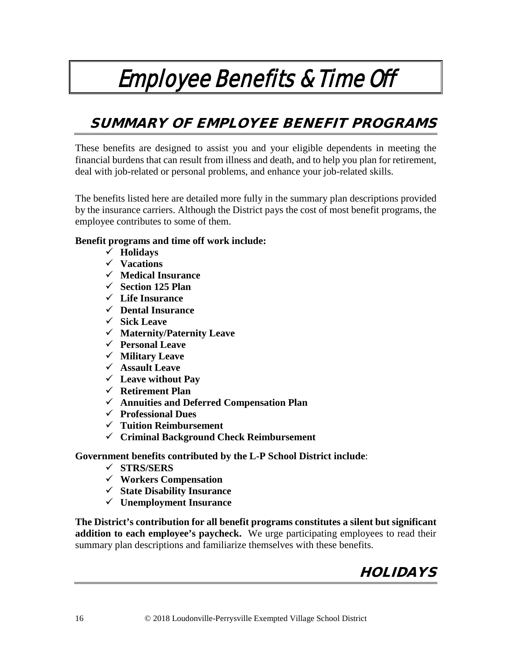# Employee Benefits & Time Off

# SUMMARY OF EMPLOYEE BENEFIT PROGRAMS

These benefits are designed to assist you and your eligible dependents in meeting the financial burdens that can result from illness and death, and to help you plan for retirement, deal with job-related or personal problems, and enhance your job-related skills.

The benefits listed here are detailed more fully in the summary plan descriptions provided by the insurance carriers. Although the District pays the cost of most benefit programs, the employee contributes to some of them.

### **Benefit programs and time off work include:**

- **Holidays**
- **Vacations**
- **Medical Insurance**
- **Section 125 Plan**
- **Life Insurance**
- **Dental Insurance**
- **Sick Leave**
- **Maternity/Paternity Leave**
- **Personal Leave**
- **Military Leave**
- **Assault Leave**
- **Leave without Pay**
- **Retirement Plan**
- **Annuities and Deferred Compensation Plan**
- **Professional Dues**
- **Tuition Reimbursement**
- **Criminal Background Check Reimbursement**

**Government benefits contributed by the L-P School District include**:

- **STRS/SERS**
- **Workers Compensation**
- **State Disability Insurance**
- **Unemployment Insurance**

**The District's contribution for all benefit programs constitutes a silent but significant addition to each employee's paycheck.** We urge participating employees to read their summary plan descriptions and familiarize themselves with these benefits.

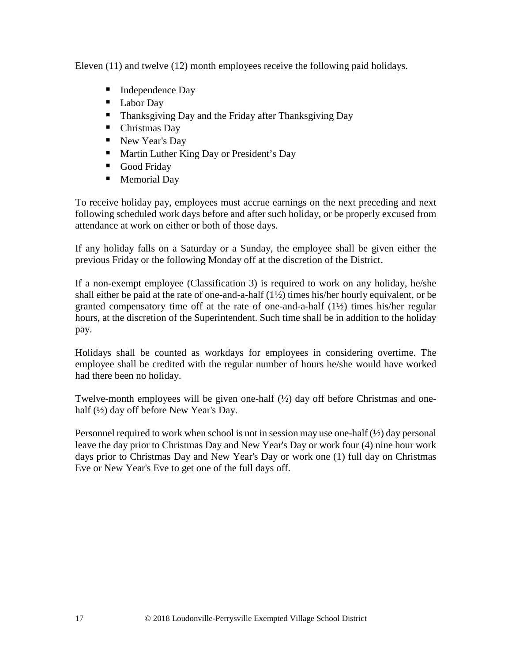Eleven (11) and twelve (12) month employees receive the following paid holidays.

- Independence Day
- **Labor Day**
- **Thanksgiving Day and the Friday after Thanksgiving Day**
- Christmas Day
- New Year's Day
- **Martin Luther King Day or President's Day**
- Good Friday
- **Memorial Day**

To receive holiday pay, employees must accrue earnings on the next preceding and next following scheduled work days before and after such holiday, or be properly excused from attendance at work on either or both of those days.

If any holiday falls on a Saturday or a Sunday, the employee shall be given either the previous Friday or the following Monday off at the discretion of the District.

If a non-exempt employee (Classification 3) is required to work on any holiday, he/she shall either be paid at the rate of one-and-a-half (1½) times his/her hourly equivalent, or be granted compensatory time off at the rate of one-and-a-half (1½) times his/her regular hours, at the discretion of the Superintendent. Such time shall be in addition to the holiday pay.

Holidays shall be counted as workdays for employees in considering overtime. The employee shall be credited with the regular number of hours he/she would have worked had there been no holiday.

Twelve-month employees will be given one-half  $(\frac{1}{2})$  day off before Christmas and onehalf (½) day off before New Year's Day.

Personnel required to work when school is not in session may use one-half  $\frac{1}{2}$  day personal leave the day prior to Christmas Day and New Year's Day or work four (4) nine hour work days prior to Christmas Day and New Year's Day or work one (1) full day on Christmas Eve or New Year's Eve to get one of the full days off.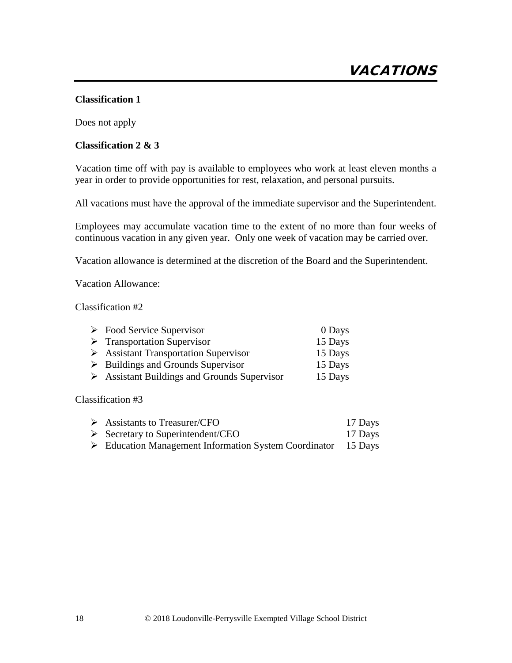### **Classification 1**

Does not apply

### **Classification 2 & 3**

Vacation time off with pay is available to employees who work at least eleven months a year in order to provide opportunities for rest, relaxation, and personal pursuits.

All vacations must have the approval of the immediate supervisor and the Superintendent.

Employees may accumulate vacation time to the extent of no more than four weeks of continuous vacation in any given year. Only one week of vacation may be carried over.

Vacation allowance is determined at the discretion of the Board and the Superintendent.

Vacation Allowance:

Classification #2

| $\triangleright$ Food Service Supervisor                    | 0 Days  |
|-------------------------------------------------------------|---------|
| $\triangleright$ Transportation Supervisor                  | 15 Days |
| $\triangleright$ Assistant Transportation Supervisor        | 15 Days |
| $\triangleright$ Buildings and Grounds Supervisor           | 15 Days |
| $\triangleright$ Assistant Buildings and Grounds Supervisor | 15 Days |

Classification #3

| $\triangleright$ Assistants to Treasurer/CFO                                 | 17 Days |
|------------------------------------------------------------------------------|---------|
| $\triangleright$ Secretary to Superintendent/CEO                             | 17 Days |
| $\triangleright$ Education Management Information System Coordinator 15 Days |         |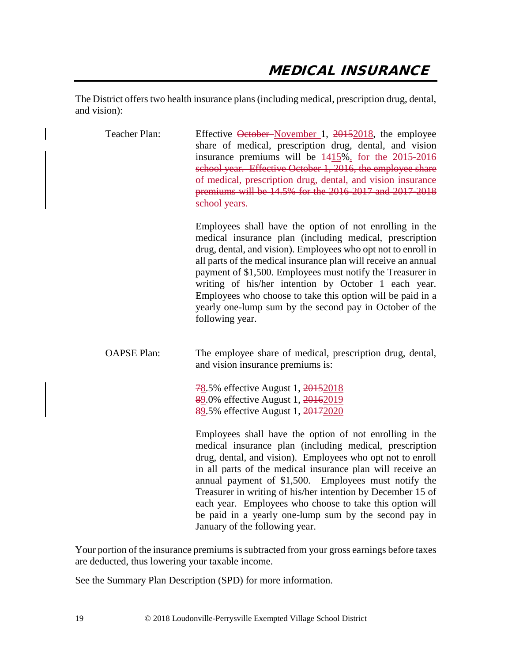The District offers two health insurance plans (including medical, prescription drug, dental, and vision):

| Teacher Plan:      | Effective October-November 1, 20152018, the employee<br>share of medical, prescription drug, dental, and vision<br>insurance premiums will be $1415\%$ . for the 2015-2016<br>school year. Effective October 1, 2016, the employee share<br>of medical, prescription drug, dental, and vision insurance<br>premiums will be 14.5% for the 2016-2017 and 2017-2018<br>school years.                                                                                                                                           |
|--------------------|------------------------------------------------------------------------------------------------------------------------------------------------------------------------------------------------------------------------------------------------------------------------------------------------------------------------------------------------------------------------------------------------------------------------------------------------------------------------------------------------------------------------------|
|                    | Employees shall have the option of not enrolling in the<br>medical insurance plan (including medical, prescription<br>drug, dental, and vision). Employees who opt not to enroll in<br>all parts of the medical insurance plan will receive an annual<br>payment of \$1,500. Employees must notify the Treasurer in<br>writing of his/her intention by October 1 each year.<br>Employees who choose to take this option will be paid in a<br>yearly one-lump sum by the second pay in October of the<br>following year.      |
| <b>OAPSE Plan:</b> | The employee share of medical, prescription drug, dental,<br>and vision insurance premiums is:                                                                                                                                                                                                                                                                                                                                                                                                                               |
|                    | 78.5% effective August 1, 20152018<br>89.0% effective August 1, 20162019<br>89.5% effective August 1, 20172020                                                                                                                                                                                                                                                                                                                                                                                                               |
|                    | Employees shall have the option of not enrolling in the<br>medical insurance plan (including medical, prescription<br>drug, dental, and vision). Employees who opt not to enroll<br>in all parts of the medical insurance plan will receive an<br>annual payment of \$1,500. Employees must notify the<br>Treasurer in writing of his/her intention by December 15 of<br>each year. Employees who choose to take this option will<br>be paid in a yearly one-lump sum by the second pay in<br>January of the following year. |

Your portion of the insurance premiums is subtracted from your gross earnings before taxes are deducted, thus lowering your taxable income.

See the Summary Plan Description (SPD) for more information.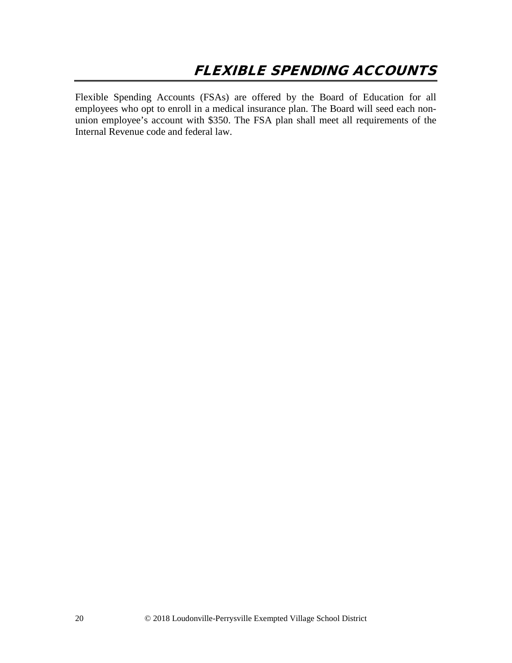Flexible Spending Accounts (FSAs) are offered by the Board of Education for all employees who opt to enroll in a medical insurance plan. The Board will seed each nonunion employee's account with \$350. The FSA plan shall meet all requirements of the Internal Revenue code and federal law.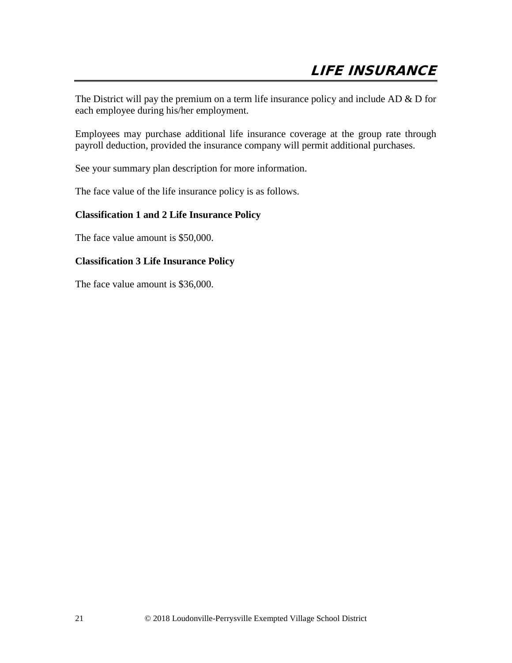The District will pay the premium on a term life insurance policy and include AD & D for each employee during his/her employment.

Employees may purchase additional life insurance coverage at the group rate through payroll deduction, provided the insurance company will permit additional purchases.

See your summary plan description for more information.

The face value of the life insurance policy is as follows.

### **Classification 1 and 2 Life Insurance Policy**

The face value amount is \$50,000.

### **Classification 3 Life Insurance Policy**

The face value amount is \$36,000.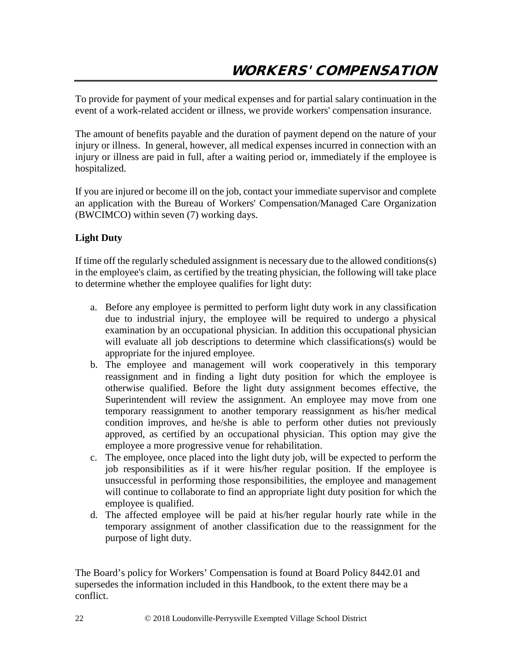To provide for payment of your medical expenses and for partial salary continuation in the event of a work-related accident or illness, we provide workers' compensation insurance.

The amount of benefits payable and the duration of payment depend on the nature of your injury or illness. In general, however, all medical expenses incurred in connection with an injury or illness are paid in full, after a waiting period or, immediately if the employee is hospitalized.

If you are injured or become ill on the job, contact your immediate supervisor and complete an application with the Bureau of Workers' Compensation/Managed Care Organization (BWCIMCO) within seven (7) working days.

### **Light Duty**

If time off the regularly scheduled assignment is necessary due to the allowed conditions(s) in the employee's claim, as certified by the treating physician, the following will take place to determine whether the employee qualifies for light duty:

- a. Before any employee is permitted to perform light duty work in any classification due to industrial injury, the employee will be required to undergo a physical examination by an occupational physician. In addition this occupational physician will evaluate all job descriptions to determine which classifications(s) would be appropriate for the injured employee.
- b. The employee and management will work cooperatively in this temporary reassignment and in finding a light duty position for which the employee is otherwise qualified. Before the light duty assignment becomes effective, the Superintendent will review the assignment. An employee may move from one temporary reassignment to another temporary reassignment as his/her medical condition improves, and he/she is able to perform other duties not previously approved, as certified by an occupational physician. This option may give the employee a more progressive venue for rehabilitation.
- c. The employee, once placed into the light duty job, will be expected to perform the job responsibilities as if it were his/her regular position. If the employee is unsuccessful in performing those responsibilities, the employee and management will continue to collaborate to find an appropriate light duty position for which the employee is qualified.
- d. The affected employee will be paid at his/her regular hourly rate while in the temporary assignment of another classification due to the reassignment for the purpose of light duty.

The Board's policy for Workers' Compensation is found at Board Policy 8442.01 and supersedes the information included in this Handbook, to the extent there may be a conflict.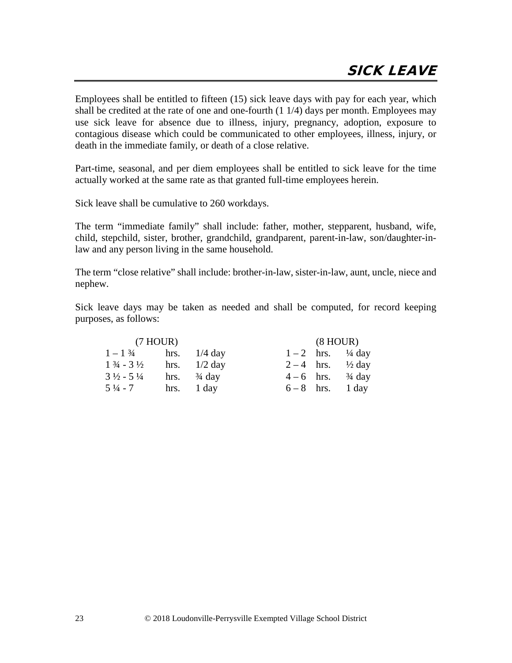Employees shall be entitled to fifteen (15) sick leave days with pay for each year, which shall be credited at the rate of one and one-fourth (1 1/4) days per month. Employees may use sick leave for absence due to illness, injury, pregnancy, adoption, exposure to contagious disease which could be communicated to other employees, illness, injury, or death in the immediate family, or death of a close relative.

Part-time, seasonal, and per diem employees shall be entitled to sick leave for the time actually worked at the same rate as that granted full-time employees herein.

Sick leave shall be cumulative to 260 workdays.

The term "immediate family" shall include: father, mother, stepparent, husband, wife, child, stepchild, sister, brother, grandchild, grandparent, parent-in-law, son/daughter-inlaw and any person living in the same household.

The term "close relative" shall include: brother-in-law, sister-in-law, aunt, uncle, niece and nephew.

Sick leave days may be taken as needed and shall be computed, for record keeping purposes, as follows:

| (7 HOUR)                          |  |                        | $(8 \text{ HOUR})$ |  |                                  |
|-----------------------------------|--|------------------------|--------------------|--|----------------------------------|
| $1 - 1\frac{3}{4}$ hrs. $1/4$ day |  |                        |                    |  | $1 - 2$ hrs. <sup>1</sup> /4 day |
| $1\frac{3}{4}$ - 3 $\frac{1}{2}$  |  | hrs. $1/2$ day         |                    |  | 2 – 4 hrs. $\frac{1}{2}$ day     |
| $3\frac{1}{2}$ - 5 $\frac{1}{4}$  |  | hrs. $\frac{3}{4}$ day |                    |  | $4-6$ hrs. $\frac{3}{4}$ day     |
| $5\frac{1}{4}$ - 7                |  | hrs. $1 \text{ day}$   |                    |  | $6-8$ hrs. 1 day                 |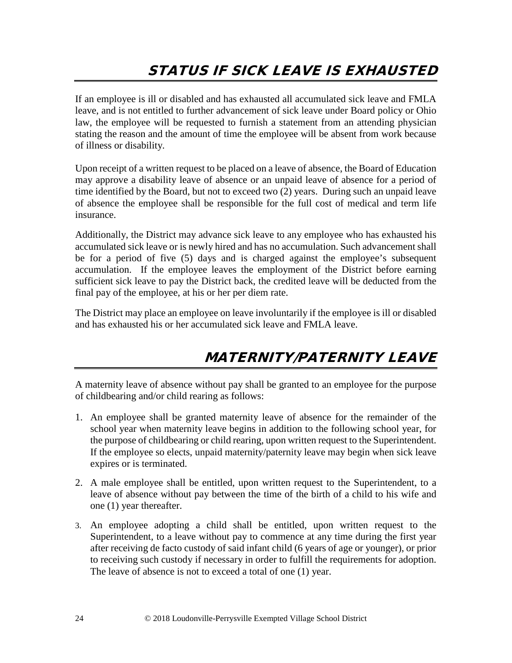If an employee is ill or disabled and has exhausted all accumulated sick leave and FMLA leave, and is not entitled to further advancement of sick leave under Board policy or Ohio law, the employee will be requested to furnish a statement from an attending physician stating the reason and the amount of time the employee will be absent from work because of illness or disability.

Upon receipt of a written request to be placed on a leave of absence, the Board of Education may approve a disability leave of absence or an unpaid leave of absence for a period of time identified by the Board, but not to exceed two (2) years. During such an unpaid leave of absence the employee shall be responsible for the full cost of medical and term life insurance.

Additionally, the District may advance sick leave to any employee who has exhausted his accumulated sick leave or is newly hired and has no accumulation. Such advancement shall be for a period of five (5) days and is charged against the employee's subsequent accumulation. If the employee leaves the employment of the District before earning sufficient sick leave to pay the District back, the credited leave will be deducted from the final pay of the employee, at his or her per diem rate.

The District may place an employee on leave involuntarily if the employee is ill or disabled and has exhausted his or her accumulated sick leave and FMLA leave.

## MATERNITY/PATERNITY LEAVE

A maternity leave of absence without pay shall be granted to an employee for the purpose of childbearing and/or child rearing as follows:

- 1. An employee shall be granted maternity leave of absence for the remainder of the school year when maternity leave begins in addition to the following school year, for the purpose of childbearing or child rearing, upon written request to the Superintendent. If the employee so elects, unpaid maternity/paternity leave may begin when sick leave expires or is terminated.
- 2. A male employee shall be entitled, upon written request to the Superintendent, to a leave of absence without pay between the time of the birth of a child to his wife and one (1) year thereafter.
- 3. An employee adopting a child shall be entitled, upon written request to the Superintendent, to a leave without pay to commence at any time during the first year after receiving de facto custody of said infant child (6 years of age or younger), or prior to receiving such custody if necessary in order to fulfill the requirements for adoption. The leave of absence is not to exceed a total of one (1) year.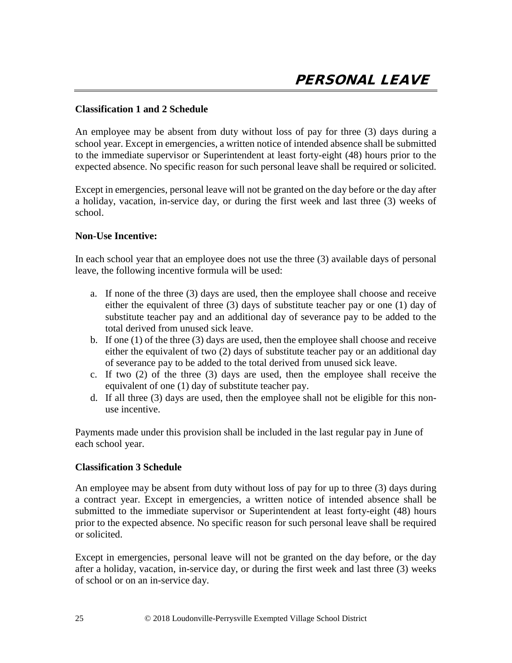### **Classification 1 and 2 Schedule**

An employee may be absent from duty without loss of pay for three (3) days during a school year. Except in emergencies, a written notice of intended absence shall be submitted to the immediate supervisor or Superintendent at least forty-eight (48) hours prior to the expected absence. No specific reason for such personal leave shall be required or solicited.

Except in emergencies, personal leave will not be granted on the day before or the day after a holiday, vacation, in-service day, or during the first week and last three (3) weeks of school.

### **Non-Use Incentive:**

In each school year that an employee does not use the three (3) available days of personal leave, the following incentive formula will be used:

- a. If none of the three (3) days are used, then the employee shall choose and receive either the equivalent of three (3) days of substitute teacher pay or one (1) day of substitute teacher pay and an additional day of severance pay to be added to the total derived from unused sick leave.
- b. If one (1) of the three (3) days are used, then the employee shall choose and receive either the equivalent of two (2) days of substitute teacher pay or an additional day of severance pay to be added to the total derived from unused sick leave.
- c. If two (2) of the three (3) days are used, then the employee shall receive the equivalent of one (1) day of substitute teacher pay.
- d. If all three (3) days are used, then the employee shall not be eligible for this nonuse incentive.

Payments made under this provision shall be included in the last regular pay in June of each school year.

### **Classification 3 Schedule**

An employee may be absent from duty without loss of pay for up to three (3) days during a contract year. Except in emergencies, a written notice of intended absence shall be submitted to the immediate supervisor or Superintendent at least forty-eight (48) hours prior to the expected absence. No specific reason for such personal leave shall be required or solicited.

Except in emergencies, personal leave will not be granted on the day before, or the day after a holiday, vacation, in-service day, or during the first week and last three (3) weeks of school or on an in-service day.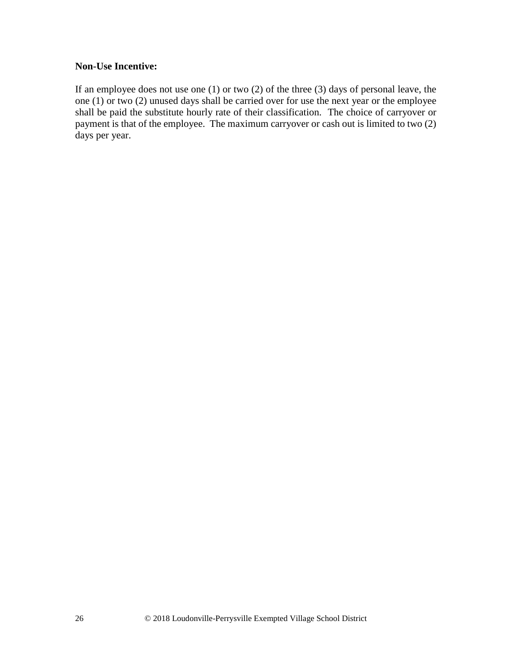### **Non-Use Incentive:**

If an employee does not use one (1) or two (2) of the three (3) days of personal leave, the one (1) or two (2) unused days shall be carried over for use the next year or the employee shall be paid the substitute hourly rate of their classification. The choice of carryover or payment is that of the employee. The maximum carryover or cash out is limited to two (2) days per year.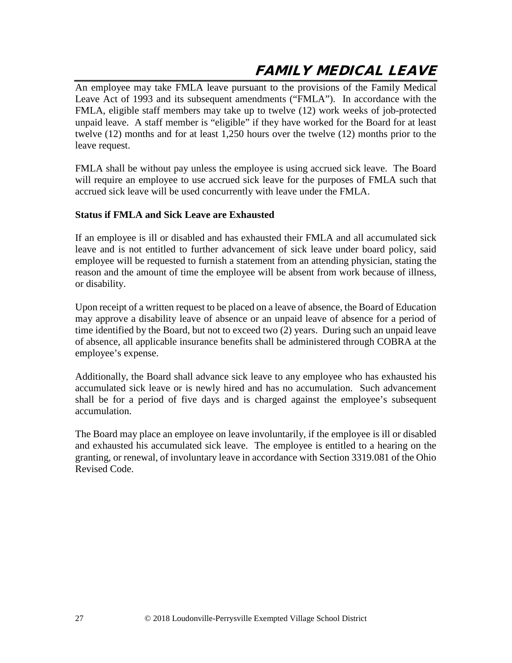# FAMILY MEDICAL LEAVE

An employee may take FMLA leave pursuant to the provisions of the Family Medical Leave Act of 1993 and its subsequent amendments ("FMLA"). In accordance with the FMLA, eligible staff members may take up to twelve (12) work weeks of job-protected unpaid leave. A staff member is "eligible" if they have worked for the Board for at least twelve (12) months and for at least 1,250 hours over the twelve (12) months prior to the leave request.

FMLA shall be without pay unless the employee is using accrued sick leave. The Board will require an employee to use accrued sick leave for the purposes of FMLA such that accrued sick leave will be used concurrently with leave under the FMLA.

### **Status if FMLA and Sick Leave are Exhausted**

If an employee is ill or disabled and has exhausted their FMLA and all accumulated sick leave and is not entitled to further advancement of sick leave under board policy, said employee will be requested to furnish a statement from an attending physician, stating the reason and the amount of time the employee will be absent from work because of illness, or disability.

Upon receipt of a written request to be placed on a leave of absence, the Board of Education may approve a disability leave of absence or an unpaid leave of absence for a period of time identified by the Board, but not to exceed two (2) years. During such an unpaid leave of absence, all applicable insurance benefits shall be administered through COBRA at the employee's expense.

Additionally, the Board shall advance sick leave to any employee who has exhausted his accumulated sick leave or is newly hired and has no accumulation. Such advancement shall be for a period of five days and is charged against the employee's subsequent accumulation.

The Board may place an employee on leave involuntarily, if the employee is ill or disabled and exhausted his accumulated sick leave. The employee is entitled to a hearing on the granting, or renewal, of involuntary leave in accordance with Section 3319.081 of the Ohio Revised Code.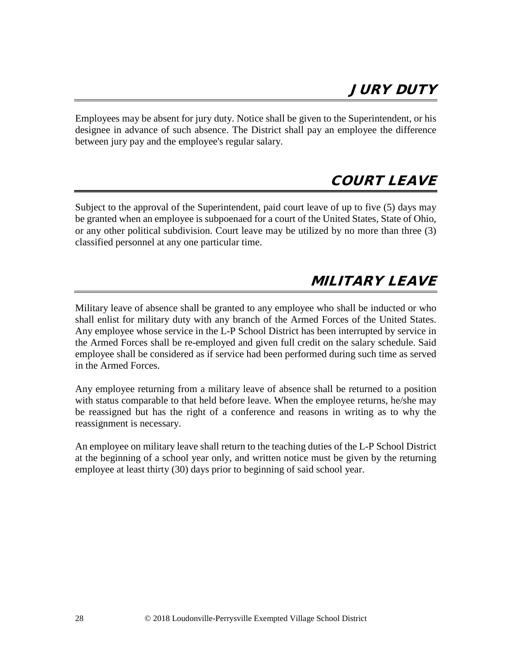Employees may be absent for jury duty. Notice shall be given to the Superintendent, or his designee in advance of such absence. The District shall pay an employee the difference between jury pay and the employee's regular salary.

### COURT LEAVE

Subject to the approval of the Superintendent, paid court leave of up to five (5) days may be granted when an employee is subpoenaed for a court of the United States, State of Ohio, or any other political subdivision. Court leave may be utilized by no more than three (3) classified personnel at any one particular time.

# MILITARY LEAVE

Military leave of absence shall be granted to any employee who shall be inducted or who shall enlist for military duty with any branch of the Armed Forces of the United States. Any employee whose service in the L-P School District has been interrupted by service in the Armed Forces shall be re-employed and given full credit on the salary schedule. Said employee shall be considered as if service had been performed during such time as served in the Armed Forces.

Any employee returning from a military leave of absence shall be returned to a position with status comparable to that held before leave. When the employee returns, he/she may be reassigned but has the right of a conference and reasons in writing as to why the reassignment is necessary.

An employee on military leave shall return to the teaching duties of the L-P School District at the beginning of a school year only, and written notice must be given by the returning employee at least thirty (30) days prior to beginning of said school year.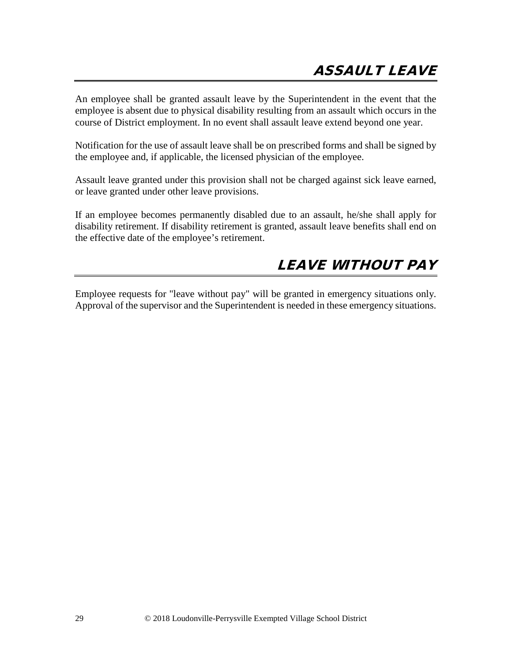An employee shall be granted assault leave by the Superintendent in the event that the employee is absent due to physical disability resulting from an assault which occurs in the course of District employment. In no event shall assault leave extend beyond one year.

Notification for the use of assault leave shall be on prescribed forms and shall be signed by the employee and, if applicable, the licensed physician of the employee.

Assault leave granted under this provision shall not be charged against sick leave earned, or leave granted under other leave provisions.

If an employee becomes permanently disabled due to an assault, he/she shall apply for disability retirement. If disability retirement is granted, assault leave benefits shall end on the effective date of the employee's retirement.

## LEAVE WITHOUT PAY

Employee requests for "leave without pay" will be granted in emergency situations only. Approval of the supervisor and the Superintendent is needed in these emergency situations.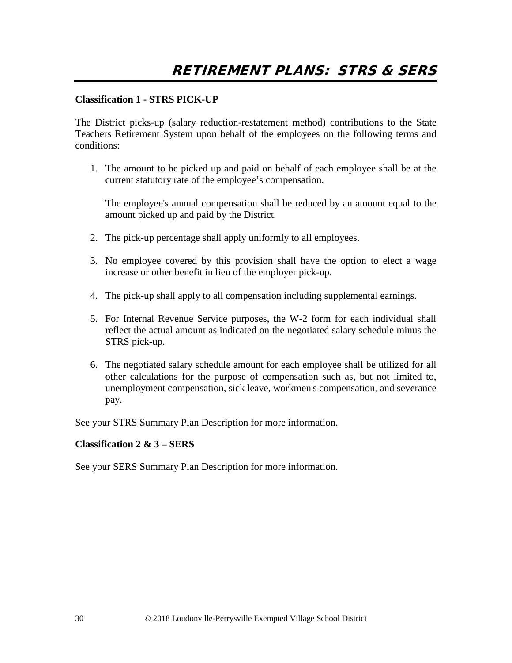### **Classification 1 - STRS PICK-UP**

The District picks-up (salary reduction-restatement method) contributions to the State Teachers Retirement System upon behalf of the employees on the following terms and conditions:

1. The amount to be picked up and paid on behalf of each employee shall be at the current statutory rate of the employee's compensation.

The employee's annual compensation shall be reduced by an amount equal to the amount picked up and paid by the District.

- 2. The pick-up percentage shall apply uniformly to all employees.
- 3. No employee covered by this provision shall have the option to elect a wage increase or other benefit in lieu of the employer pick-up.
- 4. The pick-up shall apply to all compensation including supplemental earnings.
- 5. For Internal Revenue Service purposes, the W-2 form for each individual shall reflect the actual amount as indicated on the negotiated salary schedule minus the STRS pick-up.
- 6. The negotiated salary schedule amount for each employee shall be utilized for all other calculations for the purpose of compensation such as, but not limited to, unemployment compensation, sick leave, workmen's compensation, and severance pay.

See your STRS Summary Plan Description for more information.

### **Classification 2 & 3 – SERS**

See your SERS Summary Plan Description for more information.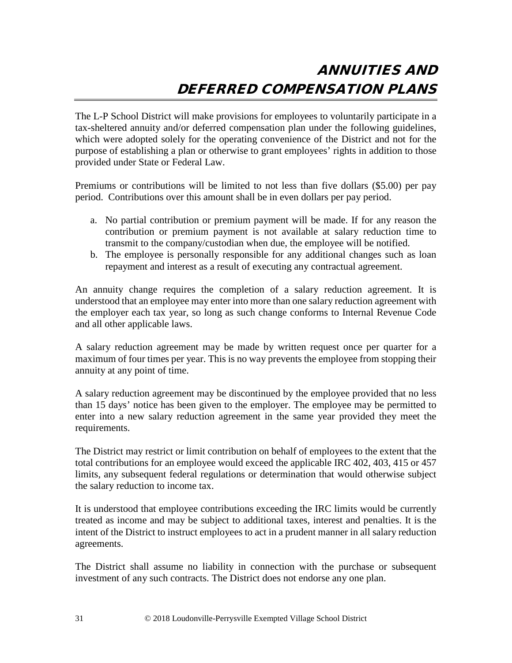# ANNUITIES AND DEFERRED COMPENSATION PLANS

The L-P School District will make provisions for employees to voluntarily participate in a tax-sheltered annuity and/or deferred compensation plan under the following guidelines, which were adopted solely for the operating convenience of the District and not for the purpose of establishing a plan or otherwise to grant employees' rights in addition to those provided under State or Federal Law.

Premiums or contributions will be limited to not less than five dollars (\$5.00) per pay period. Contributions over this amount shall be in even dollars per pay period.

- a. No partial contribution or premium payment will be made. If for any reason the contribution or premium payment is not available at salary reduction time to transmit to the company/custodian when due, the employee will be notified.
- b. The employee is personally responsible for any additional changes such as loan repayment and interest as a result of executing any contractual agreement.

An annuity change requires the completion of a salary reduction agreement. It is understood that an employee may enter into more than one salary reduction agreement with the employer each tax year, so long as such change conforms to Internal Revenue Code and all other applicable laws.

A salary reduction agreement may be made by written request once per quarter for a maximum of four times per year. This is no way prevents the employee from stopping their annuity at any point of time.

A salary reduction agreement may be discontinued by the employee provided that no less than 15 days' notice has been given to the employer. The employee may be permitted to enter into a new salary reduction agreement in the same year provided they meet the requirements.

The District may restrict or limit contribution on behalf of employees to the extent that the total contributions for an employee would exceed the applicable IRC 402, 403, 415 or 457 limits, any subsequent federal regulations or determination that would otherwise subject the salary reduction to income tax.

It is understood that employee contributions exceeding the IRC limits would be currently treated as income and may be subject to additional taxes, interest and penalties. It is the intent of the District to instruct employees to act in a prudent manner in all salary reduction agreements.

The District shall assume no liability in connection with the purchase or subsequent investment of any such contracts. The District does not endorse any one plan.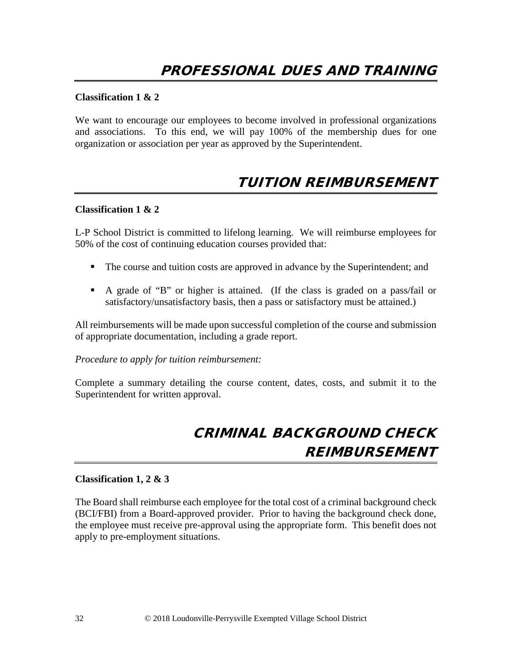### **Classification 1 & 2**

We want to encourage our employees to become involved in professional organizations and associations. To this end, we will pay 100% of the membership dues for one organization or association per year as approved by the Superintendent.

### TUITION REIMBURSEMENT

#### **Classification 1 & 2**

L-P School District is committed to lifelong learning. We will reimburse employees for 50% of the cost of continuing education courses provided that:

- The course and tuition costs are approved in advance by the Superintendent; and
- A grade of "B" or higher is attained. (If the class is graded on a pass/fail or satisfactory/unsatisfactory basis, then a pass or satisfactory must be attained.)

All reimbursements will be made upon successful completion of the course and submission of appropriate documentation, including a grade report.

*Procedure to apply for tuition reimbursement:*

Complete a summary detailing the course content, dates, costs, and submit it to the Superintendent for written approval.

# CRIMINAL BACKGROUND CHECK REIMBURSEMENT

### **Classification 1, 2 & 3**

The Board shall reimburse each employee for the total cost of a criminal background check (BCI/FBI) from a Board-approved provider. Prior to having the background check done, the employee must receive pre-approval using the appropriate form. This benefit does not apply to pre-employment situations.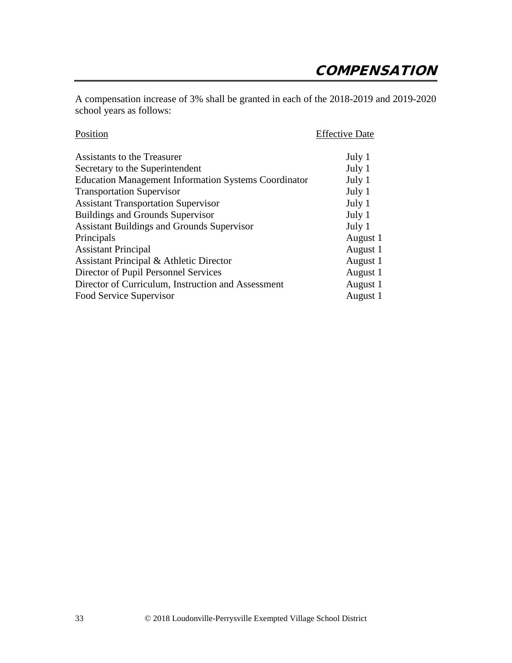A compensation increase of 3% shall be granted in each of the 2018-2019 and 2019-2020 school years as follows:

| Position                                                    | <b>Effective Date</b> |  |
|-------------------------------------------------------------|-----------------------|--|
| Assistants to the Treasurer                                 | July 1                |  |
| Secretary to the Superintendent                             | July 1                |  |
| <b>Education Management Information Systems Coordinator</b> | July 1                |  |
| <b>Transportation Supervisor</b>                            | July 1                |  |
| <b>Assistant Transportation Supervisor</b>                  | July 1                |  |
| <b>Buildings and Grounds Supervisor</b>                     | July 1                |  |
| <b>Assistant Buildings and Grounds Supervisor</b>           | July 1                |  |
| Principals                                                  | August 1              |  |
| <b>Assistant Principal</b>                                  | August 1              |  |
| Assistant Principal & Athletic Director                     | August 1              |  |
| Director of Pupil Personnel Services                        | August 1              |  |
| Director of Curriculum, Instruction and Assessment          | August 1              |  |
| Food Service Supervisor                                     | August 1              |  |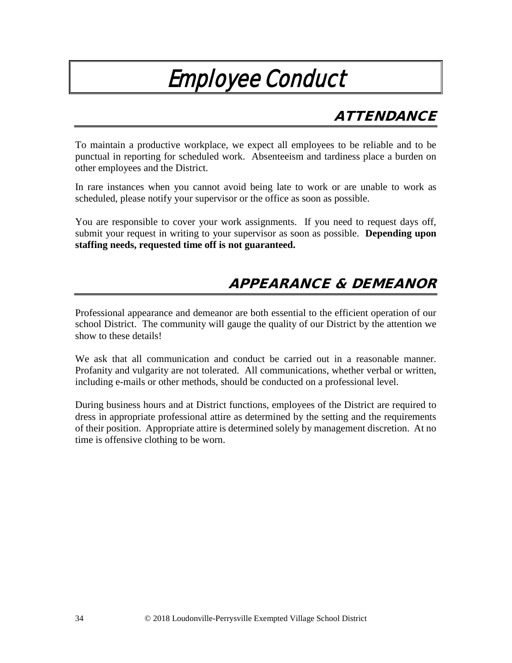# Employee Conduct

# **ATTENDANCE**

To maintain a productive workplace, we expect all employees to be reliable and to be punctual in reporting for scheduled work. Absenteeism and tardiness place a burden on other employees and the District.

In rare instances when you cannot avoid being late to work or are unable to work as scheduled, please notify your supervisor or the office as soon as possible.

You are responsible to cover your work assignments. If you need to request days off, submit your request in writing to your supervisor as soon as possible. **Depending upon staffing needs, requested time off is not guaranteed.**

### APPEARANCE & DEMEANOR

Professional appearance and demeanor are both essential to the efficient operation of our school District. The community will gauge the quality of our District by the attention we show to these details!

We ask that all communication and conduct be carried out in a reasonable manner. Profanity and vulgarity are not tolerated. All communications, whether verbal or written, including e-mails or other methods, should be conducted on a professional level.

During business hours and at District functions, employees of the District are required to dress in appropriate professional attire as determined by the setting and the requirements of their position. Appropriate attire is determined solely by management discretion. At no time is offensive clothing to be worn.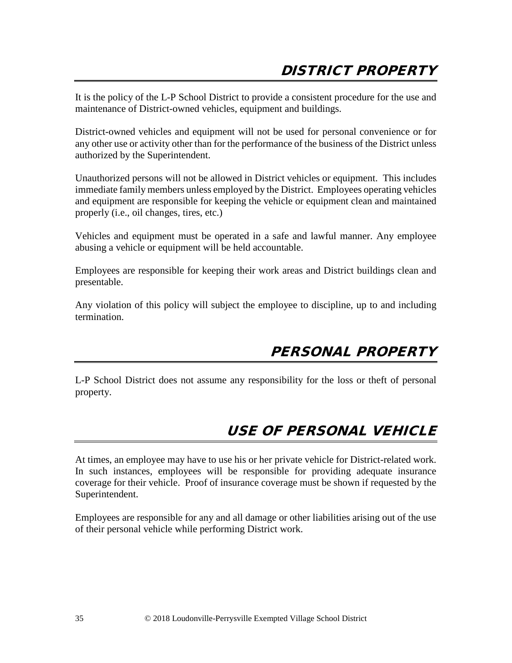It is the policy of the L-P School District to provide a consistent procedure for the use and maintenance of District-owned vehicles, equipment and buildings.

District-owned vehicles and equipment will not be used for personal convenience or for any other use or activity other than for the performance of the business of the District unless authorized by the Superintendent.

Unauthorized persons will not be allowed in District vehicles or equipment. This includes immediate family members unless employed by the District. Employees operating vehicles and equipment are responsible for keeping the vehicle or equipment clean and maintained properly (i.e., oil changes, tires, etc.)

Vehicles and equipment must be operated in a safe and lawful manner. Any employee abusing a vehicle or equipment will be held accountable.

Employees are responsible for keeping their work areas and District buildings clean and presentable.

Any violation of this policy will subject the employee to discipline, up to and including termination.

### PERSONAL PROPERTY

L-P School District does not assume any responsibility for the loss or theft of personal property.

## USE OF PERSONAL VEHICLE

At times, an employee may have to use his or her private vehicle for District-related work. In such instances, employees will be responsible for providing adequate insurance coverage for their vehicle. Proof of insurance coverage must be shown if requested by the Superintendent.

Employees are responsible for any and all damage or other liabilities arising out of the use of their personal vehicle while performing District work.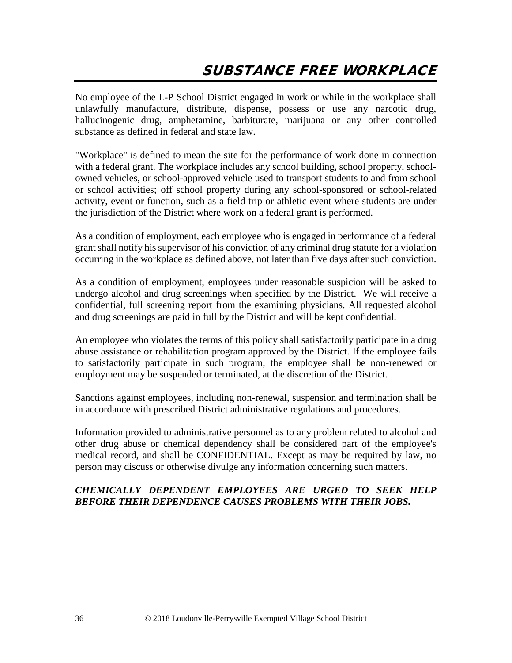No employee of the L-P School District engaged in work or while in the workplace shall unlawfully manufacture, distribute, dispense, possess or use any narcotic drug, hallucinogenic drug, amphetamine, barbiturate, marijuana or any other controlled substance as defined in federal and state law.

"Workplace" is defined to mean the site for the performance of work done in connection with a federal grant. The workplace includes any school building, school property, schoolowned vehicles, or school-approved vehicle used to transport students to and from school or school activities; off school property during any school-sponsored or school-related activity, event or function, such as a field trip or athletic event where students are under the jurisdiction of the District where work on a federal grant is performed.

As a condition of employment, each employee who is engaged in performance of a federal grant shall notify his supervisor of his conviction of any criminal drug statute for a violation occurring in the workplace as defined above, not later than five days after such conviction.

As a condition of employment, employees under reasonable suspicion will be asked to undergo alcohol and drug screenings when specified by the District. We will receive a confidential, full screening report from the examining physicians. All requested alcohol and drug screenings are paid in full by the District and will be kept confidential.

An employee who violates the terms of this policy shall satisfactorily participate in a drug abuse assistance or rehabilitation program approved by the District. If the employee fails to satisfactorily participate in such program, the employee shall be non-renewed or employment may be suspended or terminated, at the discretion of the District.

Sanctions against employees, including non-renewal, suspension and termination shall be in accordance with prescribed District administrative regulations and procedures.

Information provided to administrative personnel as to any problem related to alcohol and other drug abuse or chemical dependency shall be considered part of the employee's medical record, and shall be CONFIDENTIAL. Except as may be required by law, no person may discuss or otherwise divulge any information concerning such matters.

### *CHEMICALLY DEPENDENT EMPLOYEES ARE URGED TO SEEK HELP BEFORE THEIR DEPENDENCE CAUSES PROBLEMS WITH THEIR JOBS.*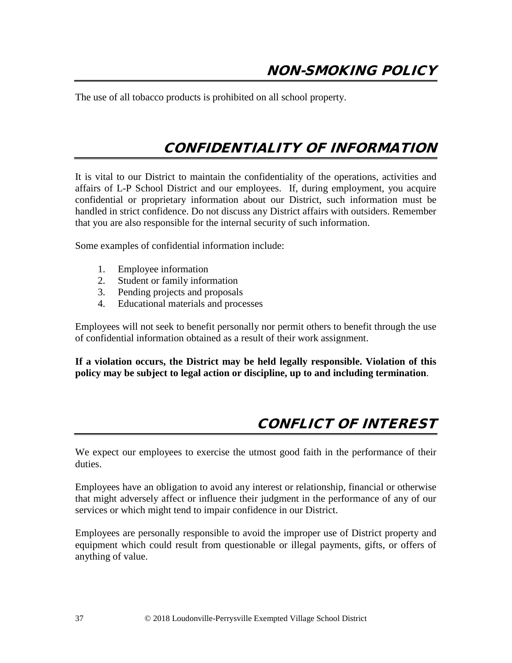The use of all tobacco products is prohibited on all school property.

## CONFIDENTIALITY OF INFORMATION

It is vital to our District to maintain the confidentiality of the operations, activities and affairs of L-P School District and our employees. If, during employment, you acquire confidential or proprietary information about our District, such information must be handled in strict confidence. Do not discuss any District affairs with outsiders. Remember that you are also responsible for the internal security of such information.

Some examples of confidential information include:

- 1. Employee information
- 2. Student or family information
- 3. Pending projects and proposals
- 4. Educational materials and processes

Employees will not seek to benefit personally nor permit others to benefit through the use of confidential information obtained as a result of their work assignment.

**If a violation occurs, the District may be held legally responsible. Violation of this policy may be subject to legal action or discipline, up to and including termination**.

### CONFLICT OF INTEREST

We expect our employees to exercise the utmost good faith in the performance of their duties.

Employees have an obligation to avoid any interest or relationship, financial or otherwise that might adversely affect or influence their judgment in the performance of any of our services or which might tend to impair confidence in our District.

Employees are personally responsible to avoid the improper use of District property and equipment which could result from questionable or illegal payments, gifts, or offers of anything of value.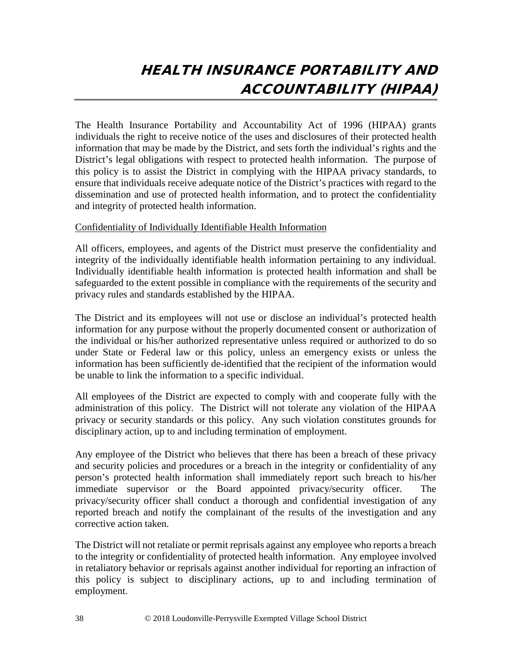# HEALTH INSURANCE PORTABILITY AND ACCOUNTABILITY (HIPAA)

The Health Insurance Portability and Accountability Act of 1996 (HIPAA) grants individuals the right to receive notice of the uses and disclosures of their protected health information that may be made by the District, and sets forth the individual's rights and the District's legal obligations with respect to protected health information. The purpose of this policy is to assist the District in complying with the HIPAA privacy standards, to ensure that individuals receive adequate notice of the District's practices with regard to the dissemination and use of protected health information, and to protect the confidentiality and integrity of protected health information.

### Confidentiality of Individually Identifiable Health Information

All officers, employees, and agents of the District must preserve the confidentiality and integrity of the individually identifiable health information pertaining to any individual. Individually identifiable health information is protected health information and shall be safeguarded to the extent possible in compliance with the requirements of the security and privacy rules and standards established by the HIPAA.

The District and its employees will not use or disclose an individual's protected health information for any purpose without the properly documented consent or authorization of the individual or his/her authorized representative unless required or authorized to do so under State or Federal law or this policy, unless an emergency exists or unless the information has been sufficiently de-identified that the recipient of the information would be unable to link the information to a specific individual.

All employees of the District are expected to comply with and cooperate fully with the administration of this policy. The District will not tolerate any violation of the HIPAA privacy or security standards or this policy. Any such violation constitutes grounds for disciplinary action, up to and including termination of employment.

Any employee of the District who believes that there has been a breach of these privacy and security policies and procedures or a breach in the integrity or confidentiality of any person's protected health information shall immediately report such breach to his/her immediate supervisor or the Board appointed privacy/security officer. The privacy/security officer shall conduct a thorough and confidential investigation of any reported breach and notify the complainant of the results of the investigation and any corrective action taken.

The District will not retaliate or permit reprisals against any employee who reports a breach to the integrity or confidentiality of protected health information. Any employee involved in retaliatory behavior or reprisals against another individual for reporting an infraction of this policy is subject to disciplinary actions, up to and including termination of employment.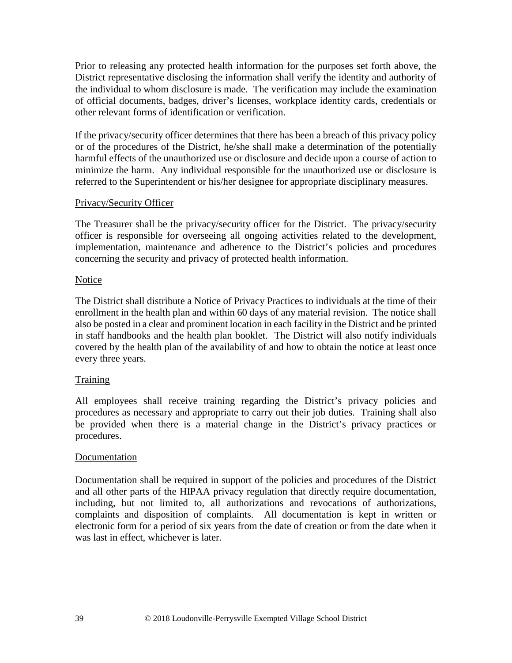Prior to releasing any protected health information for the purposes set forth above, the District representative disclosing the information shall verify the identity and authority of the individual to whom disclosure is made. The verification may include the examination of official documents, badges, driver's licenses, workplace identity cards, credentials or other relevant forms of identification or verification.

If the privacy/security officer determines that there has been a breach of this privacy policy or of the procedures of the District, he/she shall make a determination of the potentially harmful effects of the unauthorized use or disclosure and decide upon a course of action to minimize the harm. Any individual responsible for the unauthorized use or disclosure is referred to the Superintendent or his/her designee for appropriate disciplinary measures.

### Privacy/Security Officer

The Treasurer shall be the privacy/security officer for the District. The privacy/security officer is responsible for overseeing all ongoing activities related to the development, implementation, maintenance and adherence to the District's policies and procedures concerning the security and privacy of protected health information.

### Notice

The District shall distribute a Notice of Privacy Practices to individuals at the time of their enrollment in the health plan and within 60 days of any material revision. The notice shall also be posted in a clear and prominent location in each facility in the District and be printed in staff handbooks and the health plan booklet. The District will also notify individuals covered by the health plan of the availability of and how to obtain the notice at least once every three years.

### Training

All employees shall receive training regarding the District's privacy policies and procedures as necessary and appropriate to carry out their job duties. Training shall also be provided when there is a material change in the District's privacy practices or procedures.

### Documentation

Documentation shall be required in support of the policies and procedures of the District and all other parts of the HIPAA privacy regulation that directly require documentation, including, but not limited to, all authorizations and revocations of authorizations, complaints and disposition of complaints. All documentation is kept in written or electronic form for a period of six years from the date of creation or from the date when it was last in effect, whichever is later.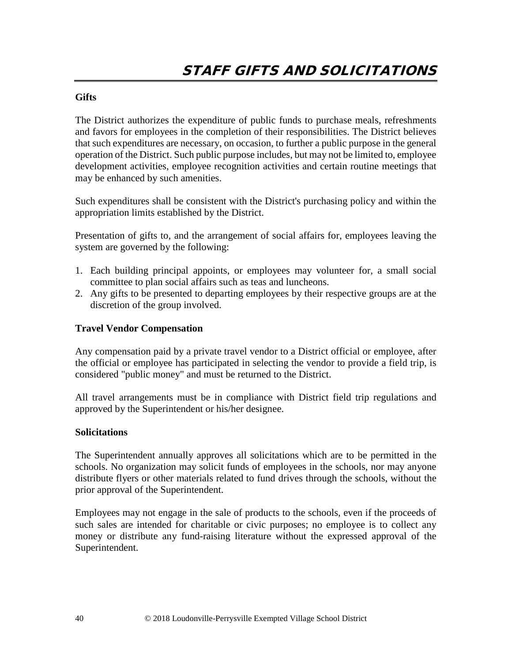### **Gifts**

The District authorizes the expenditure of public funds to purchase meals, refreshments and favors for employees in the completion of their responsibilities. The District believes that such expenditures are necessary, on occasion, to further a public purpose in the general operation of the District. Such public purpose includes, but may not be limited to, employee development activities, employee recognition activities and certain routine meetings that may be enhanced by such amenities.

Such expenditures shall be consistent with the District's purchasing policy and within the appropriation limits established by the District.

Presentation of gifts to, and the arrangement of social affairs for, employees leaving the system are governed by the following:

- 1. Each building principal appoints, or employees may volunteer for, a small social committee to plan social affairs such as teas and luncheons.
- 2. Any gifts to be presented to departing employees by their respective groups are at the discretion of the group involved.

### **Travel Vendor Compensation**

Any compensation paid by a private travel vendor to a District official or employee, after the official or employee has participated in selecting the vendor to provide a field trip, is considered "public money" and must be returned to the District.

All travel arrangements must be in compliance with District field trip regulations and approved by the Superintendent or his/her designee.

#### **Solicitations**

The Superintendent annually approves all solicitations which are to be permitted in the schools. No organization may solicit funds of employees in the schools, nor may anyone distribute flyers or other materials related to fund drives through the schools, without the prior approval of the Superintendent.

Employees may not engage in the sale of products to the schools, even if the proceeds of such sales are intended for charitable or civic purposes; no employee is to collect any money or distribute any fund-raising literature without the expressed approval of the Superintendent.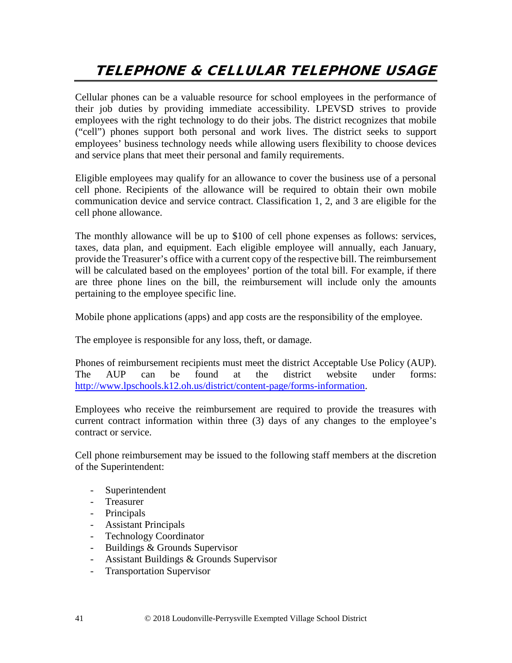# TELEPHONE & CELLULAR TELEPHONE USAGE

Cellular phones can be a valuable resource for school employees in the performance of their job duties by providing immediate accessibility. LPEVSD strives to provide employees with the right technology to do their jobs. The district recognizes that mobile ("cell") phones support both personal and work lives. The district seeks to support employees' business technology needs while allowing users flexibility to choose devices and service plans that meet their personal and family requirements.

Eligible employees may qualify for an allowance to cover the business use of a personal cell phone. Recipients of the allowance will be required to obtain their own mobile communication device and service contract. Classification 1, 2, and 3 are eligible for the cell phone allowance.

The monthly allowance will be up to \$100 of cell phone expenses as follows: services, taxes, data plan, and equipment. Each eligible employee will annually, each January, provide the Treasurer's office with a current copy of the respective bill. The reimbursement will be calculated based on the employees' portion of the total bill. For example, if there are three phone lines on the bill, the reimbursement will include only the amounts pertaining to the employee specific line.

Mobile phone applications (apps) and app costs are the responsibility of the employee.

The employee is responsible for any loss, theft, or damage.

Phones of reimbursement recipients must meet the district Acceptable Use Policy (AUP). The AUP can be found at the district website under forms: [http://www.lpschools.k12.oh.us/district/content-page/forms-information.](http://www.lpschools.k12.oh.us/district/content-page/forms-information)

Employees who receive the reimbursement are required to provide the treasures with current contract information within three (3) days of any changes to the employee's contract or service.

Cell phone reimbursement may be issued to the following staff members at the discretion of the Superintendent:

- Superintendent
- Treasurer
- Principals
- Assistant Principals
- Technology Coordinator
- Buildings & Grounds Supervisor
- Assistant Buildings & Grounds Supervisor
- Transportation Supervisor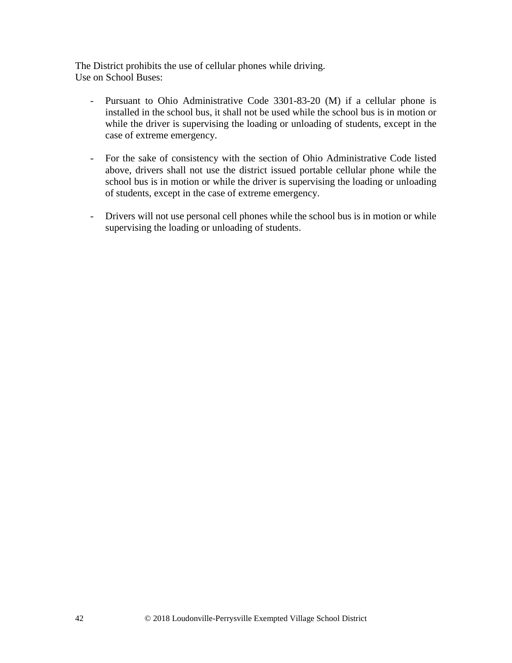The District prohibits the use of cellular phones while driving. Use on School Buses:

- Pursuant to Ohio Administrative Code 3301-83-20 (M) if a cellular phone is installed in the school bus, it shall not be used while the school bus is in motion or while the driver is supervising the loading or unloading of students, except in the case of extreme emergency.
- For the sake of consistency with the section of Ohio Administrative Code listed above, drivers shall not use the district issued portable cellular phone while the school bus is in motion or while the driver is supervising the loading or unloading of students, except in the case of extreme emergency.
- Drivers will not use personal cell phones while the school bus is in motion or while supervising the loading or unloading of students.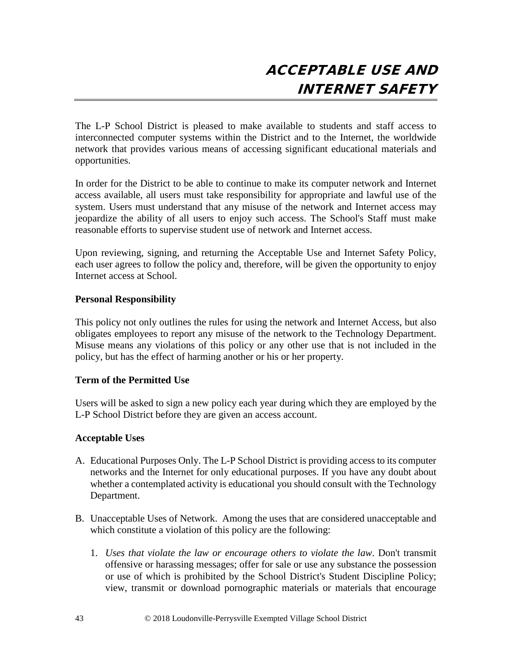The L-P School District is pleased to make available to students and staff access to interconnected computer systems within the District and to the Internet, the worldwide network that provides various means of accessing significant educational materials and opportunities.

In order for the District to be able to continue to make its computer network and Internet access available, all users must take responsibility for appropriate and lawful use of the system. Users must understand that any misuse of the network and Internet access may jeopardize the ability of all users to enjoy such access. The School's Staff must make reasonable efforts to supervise student use of network and Internet access.

Upon reviewing, signing, and returning the Acceptable Use and Internet Safety Policy, each user agrees to follow the policy and, therefore, will be given the opportunity to enjoy Internet access at School.

### **Personal Responsibility**

This policy not only outlines the rules for using the network and Internet Access, but also obligates employees to report any misuse of the network to the Technology Department. Misuse means any violations of this policy or any other use that is not included in the policy, but has the effect of harming another or his or her property.

### **Term of the Permitted Use**

Users will be asked to sign a new policy each year during which they are employed by the L-P School District before they are given an access account.

### **Acceptable Uses**

- A. Educational Purposes Only. The L-P School District is providing access to its computer networks and the Internet for only educational purposes. If you have any doubt about whether a contemplated activity is educational you should consult with the Technology Department.
- B. Unacceptable Uses of Network. Among the uses that are considered unacceptable and which constitute a violation of this policy are the following:
	- 1. *Uses that violate the law or encourage others to violate the law*. Don't transmit offensive or harassing messages; offer for sale or use any substance the possession or use of which is prohibited by the School District's Student Discipline Policy; view, transmit or download pornographic materials or materials that encourage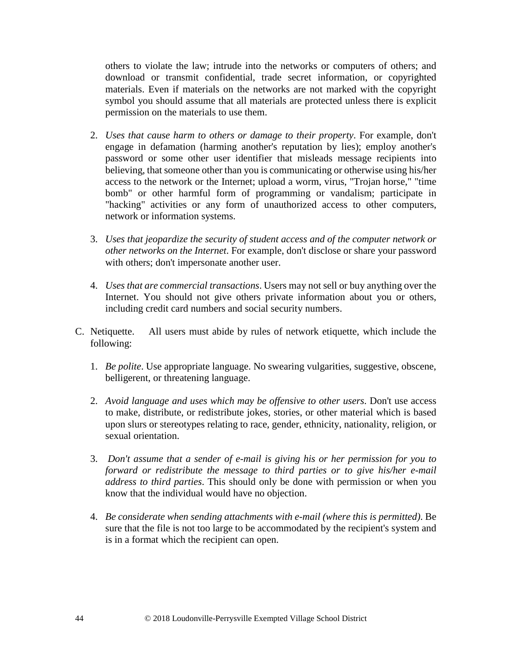others to violate the law; intrude into the networks or computers of others; and download or transmit confidential, trade secret information, or copyrighted materials. Even if materials on the networks are not marked with the copyright symbol you should assume that all materials are protected unless there is explicit permission on the materials to use them.

- 2. *Uses that cause harm to others or damage to their property*. For example, don't engage in defamation (harming another's reputation by lies); employ another's password or some other user identifier that misleads message recipients into believing, that someone other than you is communicating or otherwise using his/her access to the network or the Internet; upload a worm, virus, "Trojan horse," "time bomb" or other harmful form of programming or vandalism; participate in "hacking" activities or any form of unauthorized access to other computers, network or information systems.
- 3. *Uses that jeopardize the security of student access and of the computer network or other networks on the Internet*. For example, don't disclose or share your password with others; don't impersonate another user.
- 4. *Uses that are commercial transactions*. Users may not sell or buy anything over the Internet. You should not give others private information about you or others, including credit card numbers and social security numbers.
- C. Netiquette.All users must abide by rules of network etiquette, which include the following:
	- 1. *Be polite*. Use appropriate language. No swearing vulgarities, suggestive, obscene, belligerent, or threatening language.
	- 2. *Avoid language and uses which may be offensive to other users*. Don't use access to make, distribute, or redistribute jokes, stories, or other material which is based upon slurs or stereotypes relating to race, gender, ethnicity, nationality, religion, or sexual orientation.
	- 3. *Don't assume that a sender of e-mail is giving his or her permission for you to forward or redistribute the message to third parties or to give his/her e-mail address to third parties*. This should only be done with permission or when you know that the individual would have no objection.
	- 4. *Be considerate when sending attachments with e-mail (where this is permitted)*. Be sure that the file is not too large to be accommodated by the recipient's system and is in a format which the recipient can open.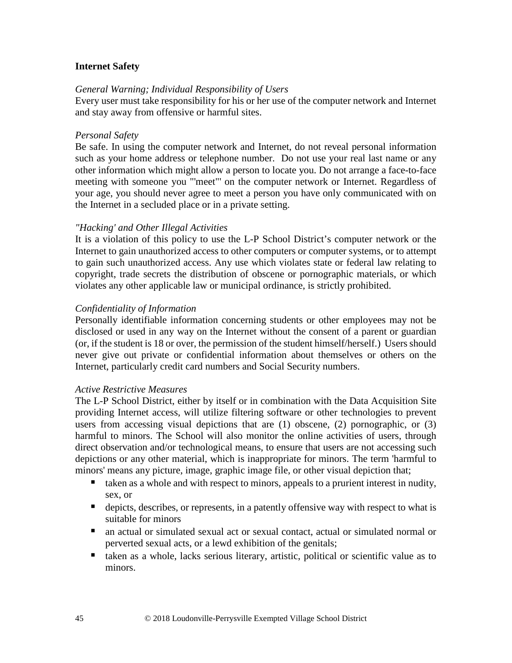### **Internet Safety**

### *General Warning; Individual Responsibility of Users*

Every user must take responsibility for his or her use of the computer network and Internet and stay away from offensive or harmful sites.

### *Personal Safety*

Be safe. In using the computer network and Internet, do not reveal personal information such as your home address or telephone number. Do not use your real last name or any other information which might allow a person to locate you. Do not arrange a face-to-face meeting with someone you "'meet"' on the computer network or Internet. Regardless of your age, you should never agree to meet a person you have only communicated with on the Internet in a secluded place or in a private setting.

### *"Hacking' and Other Illegal Activities*

It is a violation of this policy to use the L-P School District's computer network or the Internet to gain unauthorized access to other computers or computer systems, or to attempt to gain such unauthorized access. Any use which violates state or federal law relating to copyright, trade secrets the distribution of obscene or pornographic materials, or which violates any other applicable law or municipal ordinance, is strictly prohibited.

### *Confidentiality of Information*

Personally identifiable information concerning students or other employees may not be disclosed or used in any way on the Internet without the consent of a parent or guardian (or, if the student is 18 or over, the permission of the student himself/herself.) Users should never give out private or confidential information about themselves or others on the Internet, particularly credit card numbers and Social Security numbers.

#### *Active Restrictive Measures*

The L-P School District, either by itself or in combination with the Data Acquisition Site providing Internet access, will utilize filtering software or other technologies to prevent users from accessing visual depictions that are (1) obscene, (2) pornographic, or (3) harmful to minors. The School will also monitor the online activities of users, through direct observation and/or technological means, to ensure that users are not accessing such depictions or any other material, which is inappropriate for minors. The term 'harmful to minors' means any picture, image, graphic image file, or other visual depiction that;

- taken as a whole and with respect to minors, appeals to a prurient interest in nudity, sex, or
- depicts, describes, or represents, in a patently offensive way with respect to what is suitable for minors
- an actual or simulated sexual act or sexual contact, actual or simulated normal or perverted sexual acts, or a lewd exhibition of the genitals;
- taken as a whole, lacks serious literary, artistic, political or scientific value as to minors.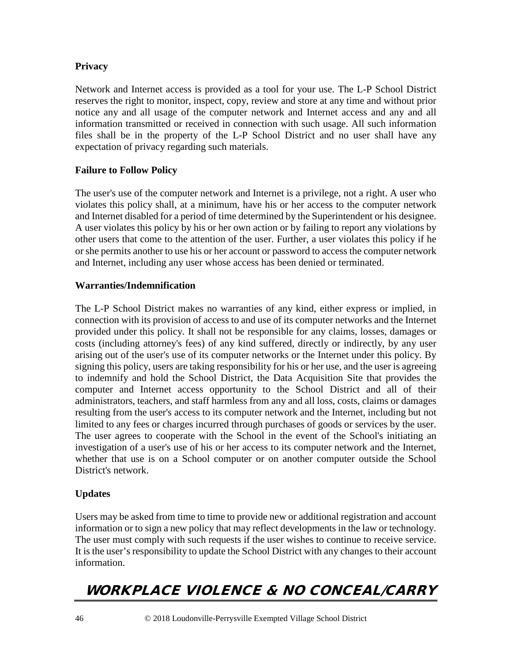### **Privacy**

Network and Internet access is provided as a tool for your use. The L-P School District reserves the right to monitor, inspect, copy, review and store at any time and without prior notice any and all usage of the computer network and Internet access and any and all information transmitted or received in connection with such usage. All such information files shall be in the property of the L-P School District and no user shall have any expectation of privacy regarding such materials.

### **Failure to Follow Policy**

The user's use of the computer network and Internet is a privilege, not a right. A user who violates this policy shall, at a minimum, have his or her access to the computer network and Internet disabled for a period of time determined by the Superintendent or his designee. A user violates this policy by his or her own action or by failing to report any violations by other users that come to the attention of the user. Further, a user violates this policy if he or she permits another to use his or her account or password to access the computer network and Internet, including any user whose access has been denied or terminated.

### **Warranties/Indemnification**

The L-P School District makes no warranties of any kind, either express or implied, in connection with its provision of access to and use of its computer networks and the Internet provided under this policy. It shall not be responsible for any claims, losses, damages or costs (including attorney's fees) of any kind suffered, directly or indirectly, by any user arising out of the user's use of its computer networks or the Internet under this policy. By signing this policy, users are taking responsibility for his or her use, and the user is agreeing to indemnify and hold the School District, the Data Acquisition Site that provides the computer and Internet access opportunity to the School District and all of their administrators, teachers, and staff harmless from any and all loss, costs, claims or damages resulting from the user's access to its computer network and the Internet, including but not limited to any fees or charges incurred through purchases of goods or services by the user. The user agrees to cooperate with the School in the event of the School's initiating an investigation of a user's use of his or her access to its computer network and the Internet, whether that use is on a School computer or on another computer outside the School District's network.

### **Updates**

Users may be asked from time to time to provide new or additional registration and account information or to sign a new policy that may reflect developments in the law or technology. The user must comply with such requests if the user wishes to continue to receive service. It is the user's responsibility to update the School District with any changes to their account information.

# WORKPLACE VIOLENCE & NO CONCEAL/CARRY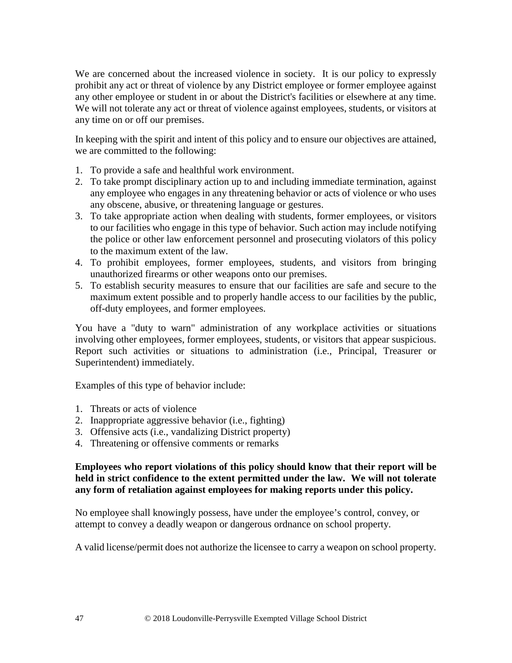We are concerned about the increased violence in society. It is our policy to expressly prohibit any act or threat of violence by any District employee or former employee against any other employee or student in or about the District's facilities or elsewhere at any time. We will not tolerate any act or threat of violence against employees, students, or visitors at any time on or off our premises.

In keeping with the spirit and intent of this policy and to ensure our objectives are attained, we are committed to the following:

- 1. To provide a safe and healthful work environment.
- 2. To take prompt disciplinary action up to and including immediate termination, against any employee who engages in any threatening behavior or acts of violence or who uses any obscene, abusive, or threatening language or gestures.
- 3. To take appropriate action when dealing with students, former employees, or visitors to our facilities who engage in this type of behavior. Such action may include notifying the police or other law enforcement personnel and prosecuting violators of this policy to the maximum extent of the law.
- 4. To prohibit employees, former employees, students, and visitors from bringing unauthorized firearms or other weapons onto our premises.
- 5. To establish security measures to ensure that our facilities are safe and secure to the maximum extent possible and to properly handle access to our facilities by the public, off-duty employees, and former employees.

You have a "duty to warn" administration of any workplace activities or situations involving other employees, former employees, students, or visitors that appear suspicious. Report such activities or situations to administration (i.e., Principal, Treasurer or Superintendent) immediately.

Examples of this type of behavior include:

- 1. Threats or acts of violence
- 2. Inappropriate aggressive behavior (i.e., fighting)
- 3. Offensive acts (i.e., vandalizing District property)
- 4. Threatening or offensive comments or remarks

### **Employees who report violations of this policy should know that their report will be held in strict confidence to the extent permitted under the law. We will not tolerate any form of retaliation against employees for making reports under this policy.**

No employee shall knowingly possess, have under the employee's control, convey, or attempt to convey a deadly weapon or dangerous ordnance on school property.

A valid license/permit does not authorize the licensee to carry a weapon on school property.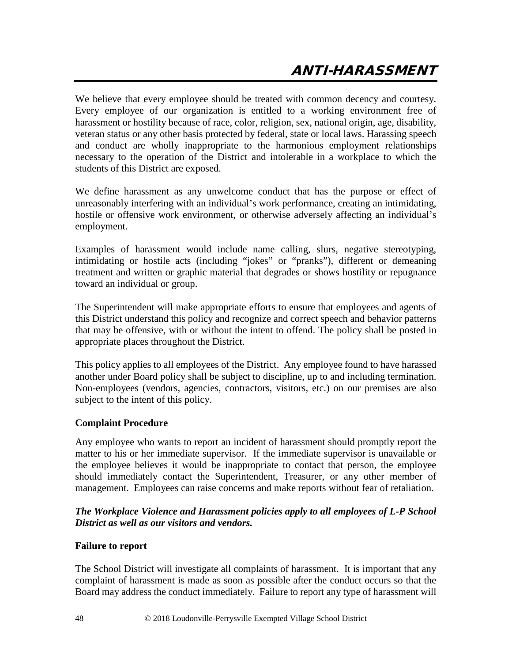We believe that every employee should be treated with common decency and courtesy. Every employee of our organization is entitled to a working environment free of harassment or hostility because of race, color, religion, sex, national origin, age, disability, veteran status or any other basis protected by federal, state or local laws. Harassing speech and conduct are wholly inappropriate to the harmonious employment relationships necessary to the operation of the District and intolerable in a workplace to which the students of this District are exposed.

We define harassment as any unwelcome conduct that has the purpose or effect of unreasonably interfering with an individual's work performance, creating an intimidating, hostile or offensive work environment, or otherwise adversely affecting an individual's employment.

Examples of harassment would include name calling, slurs, negative stereotyping, intimidating or hostile acts (including "jokes" or "pranks"), different or demeaning treatment and written or graphic material that degrades or shows hostility or repugnance toward an individual or group.

The Superintendent will make appropriate efforts to ensure that employees and agents of this District understand this policy and recognize and correct speech and behavior patterns that may be offensive, with or without the intent to offend. The policy shall be posted in appropriate places throughout the District.

This policy applies to all employees of the District. Any employee found to have harassed another under Board policy shall be subject to discipline, up to and including termination. Non-employees (vendors, agencies, contractors, visitors, etc.) on our premises are also subject to the intent of this policy.

### **Complaint Procedure**

Any employee who wants to report an incident of harassment should promptly report the matter to his or her immediate supervisor. If the immediate supervisor is unavailable or the employee believes it would be inappropriate to contact that person, the employee should immediately contact the Superintendent, Treasurer, or any other member of management. Employees can raise concerns and make reports without fear of retaliation.

### *The Workplace Violence and Harassment policies apply to all employees of L-P School District as well as our visitors and vendors.*

### **Failure to report**

The School District will investigate all complaints of harassment. It is important that any complaint of harassment is made as soon as possible after the conduct occurs so that the Board may address the conduct immediately. Failure to report any type of harassment will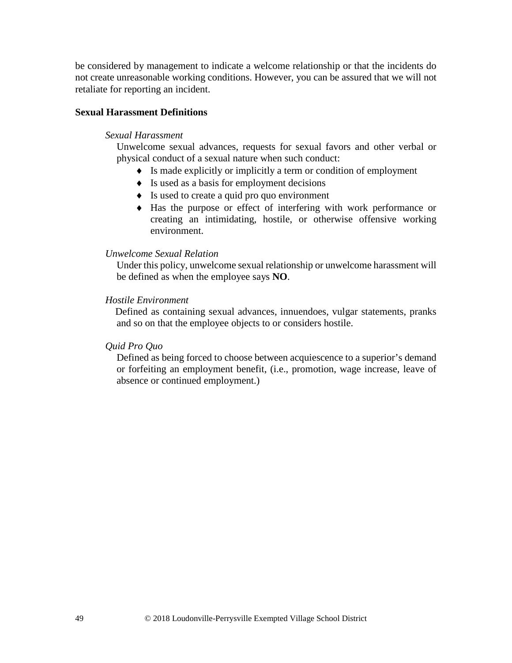be considered by management to indicate a welcome relationship or that the incidents do not create unreasonable working conditions. However, you can be assured that we will not retaliate for reporting an incident.

### **Sexual Harassment Definitions**

#### *Sexual Harassment*

Unwelcome sexual advances, requests for sexual favors and other verbal or physical conduct of a sexual nature when such conduct:

- ♦ Is made explicitly or implicitly a term or condition of employment
- ♦ Is used as a basis for employment decisions
- ♦ Is used to create a quid pro quo environment
- ♦ Has the purpose or effect of interfering with work performance or creating an intimidating, hostile, or otherwise offensive working environment.

### *Unwelcome Sexual Relation*

Under this policy, unwelcome sexual relationship or unwelcome harassment will be defined as when the employee says **NO**.

#### *Hostile Environment*

 Defined as containing sexual advances, innuendoes, vulgar statements, pranks and so on that the employee objects to or considers hostile.

#### *Quid Pro Quo*

Defined as being forced to choose between acquiescence to a superior's demand or forfeiting an employment benefit, (i.e., promotion, wage increase, leave of absence or continued employment.)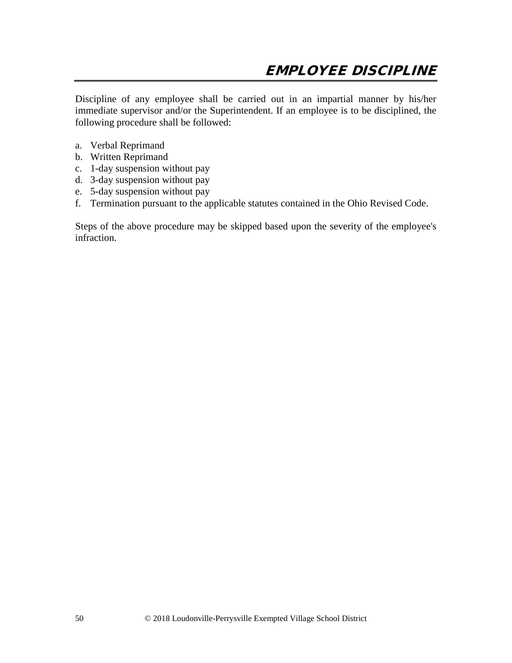Discipline of any employee shall be carried out in an impartial manner by his/her immediate supervisor and/or the Superintendent. If an employee is to be disciplined, the following procedure shall be followed:

- a. Verbal Reprimand
- b. Written Reprimand
- c. 1-day suspension without pay
- d. 3-day suspension without pay
- e. 5-day suspension without pay
- f. Termination pursuant to the applicable statutes contained in the Ohio Revised Code.

Steps of the above procedure may be skipped based upon the severity of the employee's infraction.